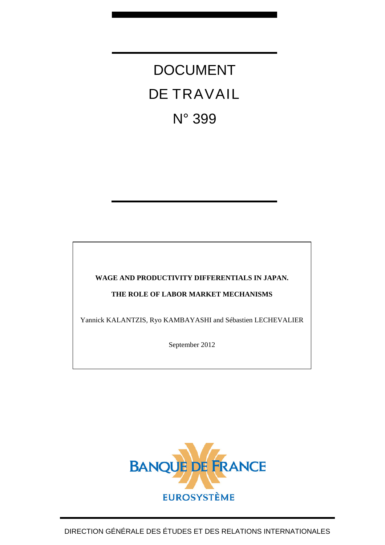DOCUMENT DE TRAVAIL N° 399

**WAGE AND PRODUCTIVITY DIFFERENTIALS IN JAPAN.** 

## **THE ROLE OF LABOR MARKET MECHANISMS**

Yannick KALANTZIS, Ryo KAMBAYASHI and Sébastien LECHEVALIER

September 2012

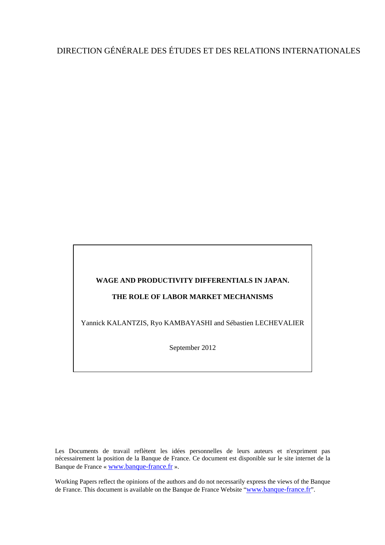# DIRECTION GÉNÉRALE DES ÉTUDES ET DES RELATIONS INTERNATIONALES

# **WAGE AND PRODUCTIVITY DIFFERENTIALS IN JAPAN. THE ROLE OF LABOR MARKET MECHANISMS**

Yannick KALANTZIS, Ryo KAMBAYASHI and Sébastien LECHEVALIER

September 2012

Les Documents de travail reflètent les idées personnelles de leurs auteurs et n'expriment pas nécessairement la position de la Banque de France. Ce document est disponible sur le site internet de la Banque de France « [www.banque-france.fr](http://www.banque-france.fr/) ».

Working Papers reflect the opinions of the authors and do not necessarily express the views of the Banque de France. This document is available on the Banque de France Website "[www.banque-france.fr](http://www.banque-france.fr/)".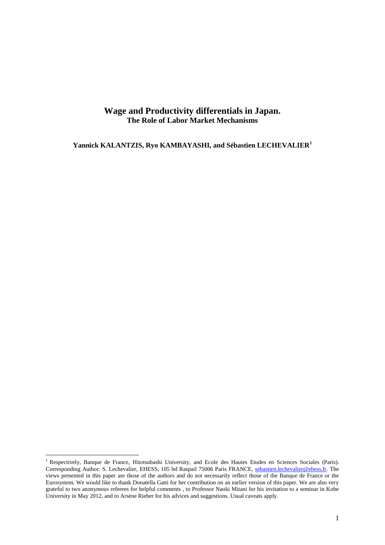## **Wage and Productivity differentials in Japan. The Role of Labor Market Mechanisms**

**Yannick KALANTZIS, Ryo KAMBAYASHI, and Sébastien LECHEVALIER<sup>1</sup>**

<sup>&</sup>lt;sup>1</sup> Respectively, Banque de France, Hitotsubashi University, and Ecole des Hautes Etudes en Sciences Sociales (Paris). Corresponding Author: S. Lechevalier, EHESS, 105 bd Raspail 75006 Paris FRANCE, [sebastien.lechevalier@ehess.fr.](mailto:sebastien.lechevalier@ehess.fr) The views presented in this paper are those of the authors and do not necessarily reflect those of the Banque de France or the Eurosystem. We would like to thank Donatella Gatti for her contribution on an earlier version of this paper. We are also very grateful to two anonymous referees for helpful comments , to Professor Naoki Mitani for his invitation to a seminar in Kobe University in May 2012, and to Arsène Rieber for his advices and suggestions. Usual caveats apply.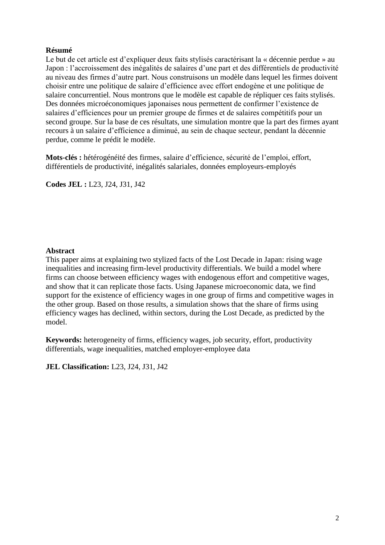## **Résumé**

Le but de cet article est d'expliquer deux faits stylisés caractérisant la « décennie perdue » au Japon : l'accroissement des inégalités de salaires d'une part et des différentiels de productivité au niveau des firmes d'autre part. Nous construisons un modèle dans lequel les firmes doivent choisir entre une politique de salaire d'efficience avec effort endogène et une politique de salaire concurrentiel. Nous montrons que le modèle est capable de répliquer ces faits stylisés. Des données microéconomiques japonaises nous permettent de confirmer l'existence de salaires d'efficiences pour un premier groupe de firmes et de salaires compétitifs pour un second groupe. Sur la base de ces résultats, une simulation montre que la part des firmes ayant recours à un salaire d'efficience a diminué, au sein de chaque secteur, pendant la décennie perdue, comme le prédit le modèle.

**Mots-clés :** hétérogénéité des firmes, salaire d'efficience, sécurité de l'emploi, effort, différentiels de productivité, inégalités salariales, données employeurs-employés

**Codes JEL :** L23, J24, J31, J42

## **Abstract**

This paper aims at explaining two stylized facts of the Lost Decade in Japan: rising wage inequalities and increasing firm-level productivity differentials. We build a model where firms can choose between efficiency wages with endogenous effort and competitive wages, and show that it can replicate those facts. Using Japanese microeconomic data, we find support for the existence of efficiency wages in one group of firms and competitive wages in the other group. Based on those results, a simulation shows that the share of firms using efficiency wages has declined, within sectors, during the Lost Decade, as predicted by the model.

**Keywords:** heterogeneity of firms, efficiency wages, job security, effort, productivity differentials, wage inequalities, matched employer-employee data

**JEL Classification:** L23, J24, J31, J42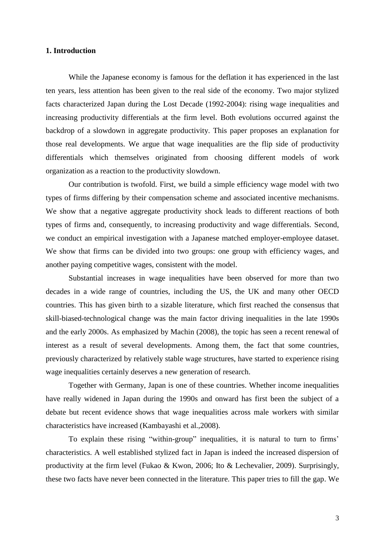#### **1. Introduction**

While the Japanese economy is famous for the deflation it has experienced in the last ten years, less attention has been given to the real side of the economy. Two major stylized facts characterized Japan during the Lost Decade (1992-2004): rising wage inequalities and increasing productivity differentials at the firm level. Both evolutions occurred against the backdrop of a slowdown in aggregate productivity. This paper proposes an explanation for those real developments. We argue that wage inequalities are the flip side of productivity differentials which themselves originated from choosing different models of work organization as a reaction to the productivity slowdown.

Our contribution is twofold. First, we build a simple efficiency wage model with two types of firms differing by their compensation scheme and associated incentive mechanisms. We show that a negative aggregate productivity shock leads to different reactions of both types of firms and, consequently, to increasing productivity and wage differentials. Second, we conduct an empirical investigation with a Japanese matched employer-employee dataset. We show that firms can be divided into two groups: one group with efficiency wages, and another paying competitive wages, consistent with the model.

Substantial increases in wage inequalities have been observed for more than two decades in a wide range of countries, including the US, the UK and many other OECD countries. This has given birth to a sizable literature, which first reached the consensus that skill-biased-technological change was the main factor driving inequalities in the late 1990s and the early 2000s. As emphasized by Machin (2008), the topic has seen a recent renewal of interest as a result of several developments. Among them, the fact that some countries, previously characterized by relatively stable wage structures, have started to experience rising wage inequalities certainly deserves a new generation of research.

Together with Germany, Japan is one of these countries. Whether income inequalities have really widened in Japan during the 1990s and onward has first been the subject of a debate but recent evidence shows that wage inequalities across male workers with similar characteristics have increased (Kambayashi et al.,2008).

To explain these rising "within-group" inequalities, it is natural to turn to firms' characteristics. A well established stylized fact in Japan is indeed the increased dispersion of productivity at the firm level (Fukao & Kwon, 2006; Ito & Lechevalier, 2009). Surprisingly, these two facts have never been connected in the literature. This paper tries to fill the gap. We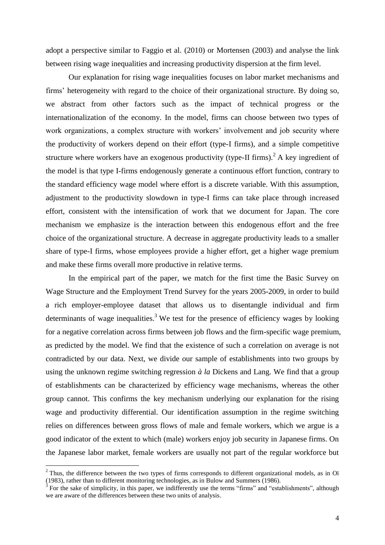adopt a perspective similar to Faggio et al. (2010) or Mortensen (2003) and analyse the link between rising wage inequalities and increasing productivity dispersion at the firm level.

Our explanation for rising wage inequalities focuses on labor market mechanisms and firms' heterogeneity with regard to the choice of their organizational structure. By doing so, we abstract from other factors such as the impact of technical progress or the internationalization of the economy. In the model, firms can choose between two types of work organizations, a complex structure with workers' involvement and job security where the productivity of workers depend on their effort (type-I firms), and a simple competitive structure where workers have an exogenous productivity (type-II firms).<sup>2</sup> A key ingredient of the model is that type I-firms endogenously generate a continuous effort function, contrary to the standard efficiency wage model where effort is a discrete variable. With this assumption, adjustment to the productivity slowdown in type-I firms can take place through increased effort, consistent with the intensification of work that we document for Japan. The core mechanism we emphasize is the interaction between this endogenous effort and the free choice of the organizational structure. A decrease in aggregate productivity leads to a smaller share of type-I firms, whose employees provide a higher effort, get a higher wage premium and make these firms overall more productive in relative terms.

In the empirical part of the paper, we match for the first time the Basic Survey on Wage Structure and the Employment Trend Survey for the years 2005-2009, in order to build a rich employer-employee dataset that allows us to disentangle individual and firm determinants of wage inequalities.<sup>3</sup> We test for the presence of efficiency wages by looking for a negative correlation across firms between job flows and the firm-specific wage premium, as predicted by the model. We find that the existence of such a correlation on average is not contradicted by our data. Next, we divide our sample of establishments into two groups by using the unknown regime switching regression *à la* Dickens and Lang. We find that a group of establishments can be characterized by efficiency wage mechanisms, whereas the other group cannot. This confirms the key mechanism underlying our explanation for the rising wage and productivity differential. Our identification assumption in the regime switching relies on differences between gross flows of male and female workers, which we argue is a good indicator of the extent to which (male) workers enjoy job security in Japanese firms. On the Japanese labor market, female workers are usually not part of the regular workforce but

 $2$  Thus, the difference between the two types of firms corresponds to different organizational models, as in Oï (1983), rather than to different monitoring technologies, as in Bulow and Summers (1986).

 $3$  For the sake of simplicity, in this paper, we indifferently use the terms "firms" and "establishments", although we are aware of the differences between these two units of analysis.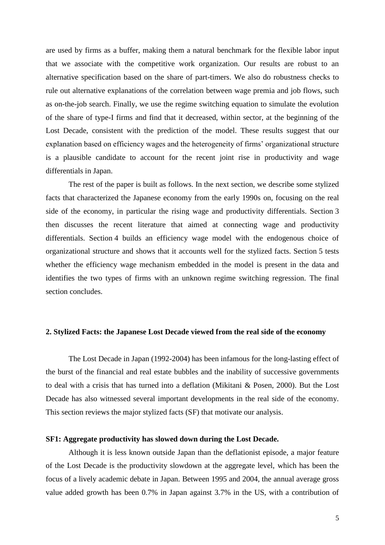are used by firms as a buffer, making them a natural benchmark for the flexible labor input that we associate with the competitive work organization. Our results are robust to an alternative specification based on the share of part-timers. We also do robustness checks to rule out alternative explanations of the correlation between wage premia and job flows, such as on-the-job search. Finally, we use the regime switching equation to simulate the evolution of the share of type-I firms and find that it decreased, within sector, at the beginning of the Lost Decade, consistent with the prediction of the model. These results suggest that our explanation based on efficiency wages and the heterogeneity of firms' organizational structure is a plausible candidate to account for the recent joint rise in productivity and wage differentials in Japan.

The rest of the paper is built as follows. In the next section, we describe some stylized facts that characterized the Japanese economy from the early 1990s on, focusing on the real side of the economy, in particular the rising wage and productivity differentials. Section 3 then discusses the recent literature that aimed at connecting wage and productivity differentials. Section 4 builds an efficiency wage model with the endogenous choice of organizational structure and shows that it accounts well for the stylized facts. Section 5 tests whether the efficiency wage mechanism embedded in the model is present in the data and identifies the two types of firms with an unknown regime switching regression. The final section concludes.

#### **2. Stylized Facts: the Japanese Lost Decade viewed from the real side of the economy**

The Lost Decade in Japan (1992-2004) has been infamous for the long-lasting effect of the burst of the financial and real estate bubbles and the inability of successive governments to deal with a crisis that has turned into a deflation (Mikitani & Posen, 2000). But the Lost Decade has also witnessed several important developments in the real side of the economy. This section reviews the major stylized facts (SF) that motivate our analysis.

#### **SF1: Aggregate productivity has slowed down during the Lost Decade.**

Although it is less known outside Japan than the deflationist episode, a major feature of the Lost Decade is the productivity slowdown at the aggregate level, which has been the focus of a lively academic debate in Japan. Between 1995 and 2004, the annual average gross value added growth has been 0.7% in Japan against 3.7% in the US, with a contribution of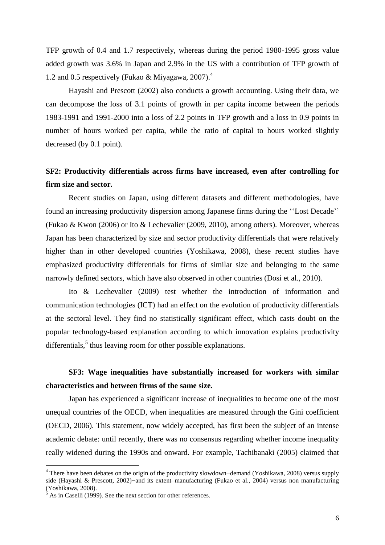TFP growth of 0.4 and 1.7 respectively, whereas during the period 1980-1995 gross value added growth was 3.6% in Japan and 2.9% in the US with a contribution of TFP growth of 1.2 and 0.5 respectively (Fukao & Miyagawa, 2007). 4

Hayashi and Prescott (2002) also conducts a growth accounting. Using their data, we can decompose the loss of 3.1 points of growth in per capita income between the periods 1983-1991 and 1991-2000 into a loss of 2.2 points in TFP growth and a loss in 0.9 points in number of hours worked per capita, while the ratio of capital to hours worked slightly decreased (by 0.1 point).

# **SF2: Productivity differentials across firms have increased, even after controlling for firm size and sector.**

Recent studies on Japan, using different datasets and different methodologies, have found an increasing productivity dispersion among Japanese firms during the "Lost Decade" (Fukao & Kwon (2006) or Ito & Lechevalier (2009, 2010), among others). Moreover, whereas Japan has been characterized by size and sector productivity differentials that were relatively higher than in other developed countries (Yoshikawa, 2008), these recent studies have emphasized productivity differentials for firms of similar size and belonging to the same narrowly defined sectors, which have also observed in other countries (Dosi et al., 2010).

Ito & Lechevalier (2009) test whether the introduction of information and communication technologies (ICT) had an effect on the evolution of productivity differentials at the sectoral level. They find no statistically significant effect, which casts doubt on the popular technology-based explanation according to which innovation explains productivity differentials,<sup>5</sup> thus leaving room for other possible explanations.

# **SF3: Wage inequalities have substantially increased for workers with similar characteristics and between firms of the same size.**

Japan has experienced a significant increase of inequalities to become one of the most unequal countries of the OECD, when inequalities are measured through the Gini coefficient (OECD, 2006). This statement, now widely accepted, has first been the subject of an intense academic debate: until recently, there was no consensus regarding whether income inequality really widened during the 1990s and onward. For example, Tachibanaki (2005) claimed that

<sup>&</sup>lt;sup>4</sup> There have been debates on the origin of the productivity slowdown-demand (Yoshikawa, 2008) versus supply side (Hayashi & Prescott, 2002)−and its extent–manufacturing (Fukao et al., 2004) versus non manufacturing (Yoshikawa, 2008).

 $\frac{5}{5}$  As in Caselli (1999). See the next section for other references.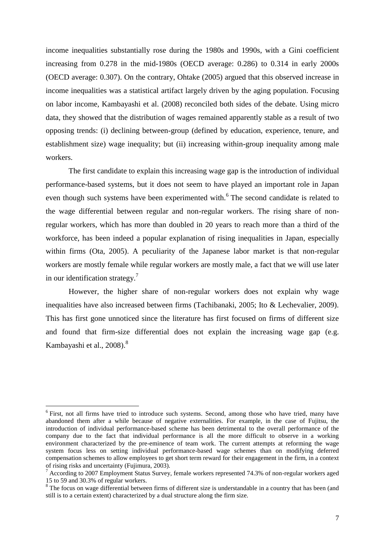income inequalities substantially rose during the 1980s and 1990s, with a Gini coefficient increasing from 0.278 in the mid-1980s (OECD average: 0.286) to 0.314 in early 2000s (OECD average: 0.307). On the contrary, Ohtake (2005) argued that this observed increase in income inequalities was a statistical artifact largely driven by the aging population. Focusing on labor income, Kambayashi et al. (2008) reconciled both sides of the debate. Using micro data, they showed that the distribution of wages remained apparently stable as a result of two opposing trends: (i) declining between-group (defined by education, experience, tenure, and establishment size) wage inequality; but (ii) increasing within-group inequality among male workers.

The first candidate to explain this increasing wage gap is the introduction of individual performance-based systems, but it does not seem to have played an important role in Japan even though such systems have been experimented with.<sup>6</sup> The second candidate is related to the wage differential between regular and non-regular workers. The rising share of nonregular workers, which has more than doubled in 20 years to reach more than a third of the workforce, has been indeed a popular explanation of rising inequalities in Japan, especially within firms (Ota, 2005). A peculiarity of the Japanese labor market is that non-regular workers are mostly female while regular workers are mostly male, a fact that we will use later in our identification strategy.<sup>7</sup>

However, the higher share of non-regular workers does not explain why wage inequalities have also increased between firms (Tachibanaki, 2005; Ito & Lechevalier, 2009). This has first gone unnoticed since the literature has first focused on firms of different size and found that firm-size differential does not explain the increasing wage gap (e.g. Kambayashi et al., 2008).<sup>8</sup>

<sup>&</sup>lt;sup>6</sup> First, not all firms have tried to introduce such systems. Second, among those who have tried, many have abandoned them after a while because of negative externalities. For example, in the case of Fujitsu, the introduction of individual performance-based scheme has been detrimental to the overall performance of the company due to the fact that individual performance is all the more difficult to observe in a working environment characterized by the pre-eminence of team work. The current attempts at reforming the wage system focus less on setting individual performance-based wage schemes than on modifying deferred compensation schemes to allow employees to get short term reward for their engagement in the firm, in a context of rising risks and uncertainty (Fujimura, 2003).

<sup>7</sup> According to 2007 Employment Status Survey, female workers represented 74.3% of non-regular workers aged 15 to 59 and 30.3% of regular workers.

<sup>&</sup>lt;sup>8</sup> The focus on wage differential between firms of different size is understandable in a country that has been (and still is to a certain extent) characterized by a dual structure along the firm size.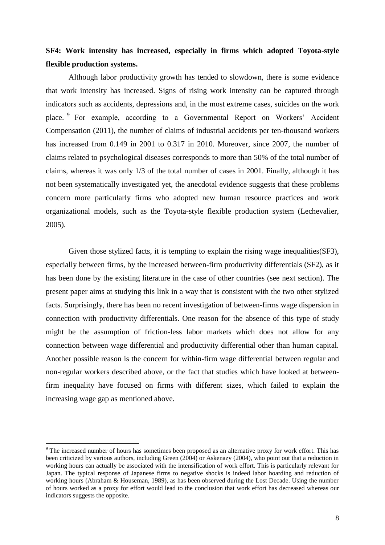# **SF4: Work intensity has increased, especially in firms which adopted Toyota-style flexible production systems.**

Although labor productivity growth has tended to slowdown, there is some evidence that work intensity has increased. Signs of rising work intensity can be captured through indicators such as accidents, depressions and, in the most extreme cases, suicides on the work place. <sup>9</sup> For example, according to a Governmental Report on Workers' Accident Compensation (2011), the number of claims of industrial accidents per ten-thousand workers has increased from 0.149 in 2001 to 0.317 in 2010. Moreover, since 2007, the number of claims related to psychological diseases corresponds to more than 50% of the total number of claims, whereas it was only 1/3 of the total number of cases in 2001. Finally, although it has not been systematically investigated yet, the anecdotal evidence suggests that these problems concern more particularly firms who adopted new human resource practices and work organizational models, such as the Toyota-style flexible production system (Lechevalier, 2005).

Given those stylized facts, it is tempting to explain the rising wage inequalities(SF3), especially between firms, by the increased between-firm productivity differentials (SF2), as it has been done by the existing literature in the case of other countries (see next section). The present paper aims at studying this link in a way that is consistent with the two other stylized facts. Surprisingly, there has been no recent investigation of between-firms wage dispersion in connection with productivity differentials. One reason for the absence of this type of study might be the assumption of friction-less labor markets which does not allow for any connection between wage differential and productivity differential other than human capital. Another possible reason is the concern for within-firm wage differential between regular and non-regular workers described above, or the fact that studies which have looked at betweenfirm inequality have focused on firms with different sizes, which failed to explain the increasing wage gap as mentioned above.

<sup>&</sup>lt;sup>9</sup> The increased number of hours has sometimes been proposed as an alternative proxy for work effort. This has been criticized by various authors, including Green (2004) or Askenazy (2004), who point out that a reduction in working hours can actually be associated with the intensification of work effort. This is particularly relevant for Japan. The typical response of Japanese firms to negative shocks is indeed labor hoarding and reduction of working hours (Abraham & Houseman, 1989), as has been observed during the Lost Decade. Using the number of hours worked as a proxy for effort would lead to the conclusion that work effort has decreased whereas our indicators suggests the opposite.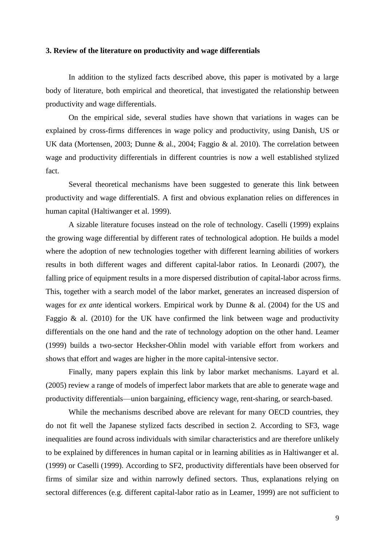#### **3. Review of the literature on productivity and wage differentials**

In addition to the stylized facts described above, this paper is motivated by a large body of literature, both empirical and theoretical, that investigated the relationship between productivity and wage differentials.

On the empirical side, several studies have shown that variations in wages can be explained by cross-firms differences in wage policy and productivity, using Danish, US or UK data (Mortensen, 2003; Dunne & al., 2004; Faggio & al. 2010). The correlation between wage and productivity differentials in different countries is now a well established stylized fact.

Several theoretical mechanisms have been suggested to generate this link between productivity and wage differentialS. A first and obvious explanation relies on differences in human capital (Haltiwanger et al. 1999).

A sizable literature focuses instead on the role of technology. Caselli (1999) explains the growing wage differential by different rates of technological adoption. He builds a model where the adoption of new technologies together with different learning abilities of workers results in both different wages and different capital-labor ratios. In Leonardi (2007), the falling price of equipment results in a more dispersed distribution of capital-labor across firms. This, together with a search model of the labor market, generates an increased dispersion of wages for *ex ante* identical workers. Empirical work by Dunne & al. (2004) for the US and Faggio  $\&$  al. (2010) for the UK have confirmed the link between wage and productivity differentials on the one hand and the rate of technology adoption on the other hand. Leamer (1999) builds a two-sector Hecksher-Ohlin model with variable effort from workers and shows that effort and wages are higher in the more capital-intensive sector.

Finally, many papers explain this link by labor market mechanisms. Layard et al. (2005) review a range of models of imperfect labor markets that are able to generate wage and productivity differentials—union bargaining, efficiency wage, rent-sharing, or search-based.

While the mechanisms described above are relevant for many OECD countries, they do not fit well the Japanese stylized facts described in section 2. According to SF3, wage inequalities are found across individuals with similar characteristics and are therefore unlikely to be explained by differences in human capital or in learning abilities as in Haltiwanger et al. (1999) or Caselli (1999). According to SF2, productivity differentials have been observed for firms of similar size and within narrowly defined sectors. Thus, explanations relying on sectoral differences (e.g. different capital-labor ratio as in Leamer, 1999) are not sufficient to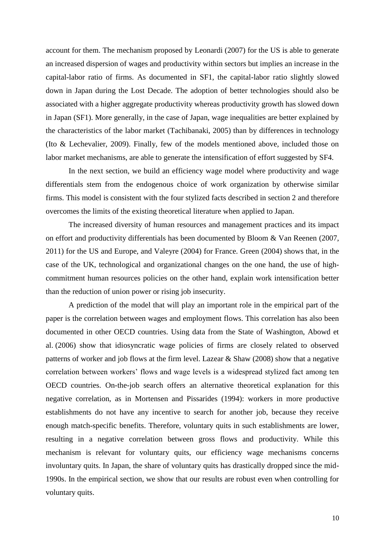account for them. The mechanism proposed by Leonardi (2007) for the US is able to generate an increased dispersion of wages and productivity within sectors but implies an increase in the capital-labor ratio of firms. As documented in SF1, the capital-labor ratio slightly slowed down in Japan during the Lost Decade. The adoption of better technologies should also be associated with a higher aggregate productivity whereas productivity growth has slowed down in Japan (SF1). More generally, in the case of Japan, wage inequalities are better explained by the characteristics of the labor market (Tachibanaki, 2005) than by differences in technology (Ito & Lechevalier, 2009). Finally, few of the models mentioned above, included those on labor market mechanisms, are able to generate the intensification of effort suggested by SF4.

In the next section, we build an efficiency wage model where productivity and wage differentials stem from the endogenous choice of work organization by otherwise similar firms. This model is consistent with the four stylized facts described in section 2 and therefore overcomes the limits of the existing theoretical literature when applied to Japan.

The increased diversity of human resources and management practices and its impact on effort and productivity differentials has been documented by Bloom & Van Reenen (2007, 2011) for the US and Europe, and Valeyre (2004) for France. Green (2004) shows that, in the case of the UK, technological and organizational changes on the one hand, the use of highcommitment human resources policies on the other hand, explain work intensification better than the reduction of union power or rising job insecurity.

A prediction of the model that will play an important role in the empirical part of the paper is the correlation between wages and employment flows. This correlation has also been documented in other OECD countries. Using data from the State of Washington, Abowd et al. (2006) show that idiosyncratic wage policies of firms are closely related to observed patterns of worker and job flows at the firm level. Lazear & Shaw (2008) show that a negative correlation between workers' flows and wage levels is a widespread stylized fact among ten OECD countries. On-the-job search offers an alternative theoretical explanation for this negative correlation, as in Mortensen and Pissarides (1994): workers in more productive establishments do not have any incentive to search for another job, because they receive enough match-specific benefits. Therefore, voluntary quits in such establishments are lower, resulting in a negative correlation between gross flows and productivity. While this mechanism is relevant for voluntary quits, our efficiency wage mechanisms concerns involuntary quits. In Japan, the share of voluntary quits has drastically dropped since the mid-1990s. In the empirical section, we show that our results are robust even when controlling for voluntary quits.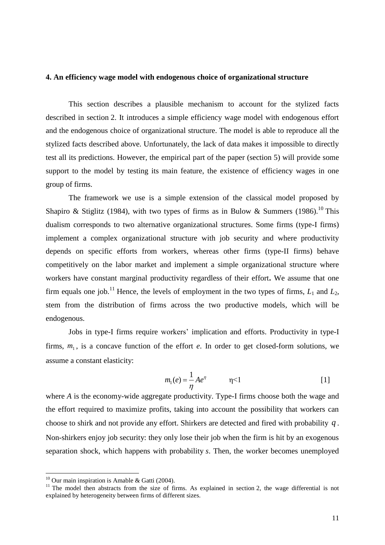#### **4. An efficiency wage model with endogenous choice of organizational structure**

This section describes a plausible mechanism to account for the stylized facts described in section 2. It introduces a simple efficiency wage model with endogenous effort and the endogenous choice of organizational structure. The model is able to reproduce all the stylized facts described above. Unfortunately, the lack of data makes it impossible to directly test all its predictions. However, the empirical part of the paper (section 5) will provide some support to the model by testing its main feature, the existence of efficiency wages in one group of firms.

The framework we use is a simple extension of the classical model proposed by Shapiro & Stiglitz (1984), with two types of firms as in Bulow & Summers (1986).<sup>10</sup> This dualism corresponds to two alternative organizational structures. Some firms (type-I firms) implement a complex organizational structure with job security and where productivity depends on specific efforts from workers, whereas other firms (type-II firms) behave competitively on the labor market and implement a simple organizational structure where workers have constant marginal productivity regardless of their effort**.** We assume that one firm equals one job.<sup>11</sup> Hence, the levels of employment in the two types of firms,  $L_1$  and  $L_2$ , stem from the distribution of firms across the two productive models, which will be endogenous.

Jobs in type-I firms require workers' implication and efforts. Productivity in type-I firms,  $m_1$ , is a concave function of the effort  $e$ . In order to get closed-form solutions, we assume a constant elasticity:

$$
m_1(e) = \frac{1}{\eta} A e^{\eta} \qquad \eta < 1
$$
 [1]

where *A* is the economy-wide aggregate productivity. Type-I firms choose both the wage and the effort required to maximize profits, taking into account the possibility that workers can choose to shirk and not provide any effort. Shirkers are detected and fired with probability *q* . Non-shirkers enjoy job security: they only lose their job when the firm is hit by an exogenous separation shock, which happens with probability *s*. Then, the worker becomes unemployed

<sup>&</sup>lt;sup>10</sup> Our main inspiration is Amable & Gatti (2004).

<sup>&</sup>lt;sup>11</sup> The model then abstracts from the size of firms. As explained in section 2, the wage differential is not explained by heterogeneity between firms of different sizes.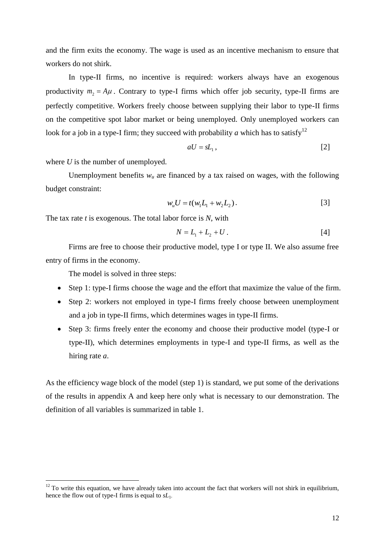and the firm exits the economy. The wage is used as an incentive mechanism to ensure that workers do not shirk.

In type-II firms, no incentive is required: workers always have an exogenous productivity  $m_2 = A\mu$ . Contrary to type-I firms which offer job security, type-II firms are perfectly competitive. Workers freely choose between supplying their labor to type-II firms on the competitive spot labor market or being unemployed. Only unemployed workers can look for a job in a type-I firm; they succeed with probability *a* which has to satisfy<sup>12</sup>

$$
aU = sL_1, \t\t[2]
$$

where *U* is the number of unemployed.

Unemployment benefits  $w_u$  are financed by a tax raised on wages, with the following budget constraint:

$$
w_u U = t(w_1 L_1 + w_2 L_2).
$$
 [3]

The tax rate *t* is exogenous. The total labor force is *N*, with

$$
N = L_1 + L_2 + U \,. \tag{4}
$$

Firms are free to choose their productive model, type I or type II. We also assume free entry of firms in the economy.

The model is solved in three steps:

<u>.</u>

- Step 1: type-I firms choose the wage and the effort that maximize the value of the firm.
- Step 2: workers not employed in type-I firms freely choose between unemployment and a job in type-II firms, which determines wages in type-II firms.
- Step 3: firms freely enter the economy and choose their productive model (type-I or type-II), which determines employments in type-I and type-II firms, as well as the hiring rate *a*.

As the efficiency wage block of the model (step 1) is standard, we put some of the derivations of the results in appendix A and keep here only what is necessary to our demonstration. The definition of all variables is summarized in table 1.

 $12$  To write this equation, we have already taken into account the fact that workers will not shirk in equilibrium, hence the flow out of type-I firms is equal to  $sL_1$ .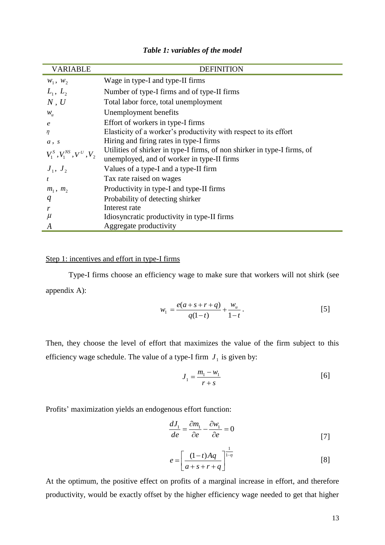| <b>VARIABLE</b>                                                                                                                             | <b>DEFINITION</b>                                                        |
|---------------------------------------------------------------------------------------------------------------------------------------------|--------------------------------------------------------------------------|
| $W_1, W_2$                                                                                                                                  | Wage in type-I and type-II firms                                         |
| $L_1, L_2$                                                                                                                                  | Number of type-I firms and of type-II firms                              |
| N, U                                                                                                                                        | Total labor force, total unemployment                                    |
| $W_u$                                                                                                                                       | Unemployment benefits                                                    |
| $\epsilon$                                                                                                                                  | Effort of workers in type-I firms                                        |
| $\eta$                                                                                                                                      | Elasticity of a worker's productivity with respect to its effort         |
| a, s                                                                                                                                        | Hiring and firing rates in type-I firms                                  |
| $V^{\mathfrak{S}}_{\scriptscriptstyle{1}}$ , $V^{\mathfrak{NS}}_{\scriptscriptstyle{1}}$ , $V^{\mathfrak{U}}$ , $V_{\scriptscriptstyle{2}}$ | Utilities of shirker in type-I firms, of non shirker in type-I firms, of |
|                                                                                                                                             | unemployed, and of worker in type-II firms                               |
| $J_1, J_2$                                                                                                                                  | Values of a type-I and a type-II firm                                    |
| t                                                                                                                                           | Tax rate raised on wages                                                 |
| $m_1$ , $m_2$                                                                                                                               | Productivity in type-I and type-II firms                                 |
| q                                                                                                                                           | Probability of detecting shirker                                         |
| r                                                                                                                                           | Interest rate                                                            |
| $\mu$                                                                                                                                       | Idiosyncratic productivity in type-II firms                              |
| A                                                                                                                                           | Aggregate productivity                                                   |

#### *Table 1: variables of the model*

#### Step 1: incentives and effort in type-I firms

Type-I firms choose an efficiency wage to make sure that workers will not shirk (see appendix A):

$$
w_1 = \frac{e(a+s+r+q)}{q(1-t)} + \frac{w_u}{1-t}.
$$
 [5]

Then, they choose the level of effort that maximizes the value of the firm subject to this efficiency wage schedule. The value of a type-I firm  $J_1$  is given by:

$$
J_1 = \frac{m_1 - w_1}{r + s} \tag{6}
$$

Profits' maximization yields an endogenous effort function:

$$
\frac{dJ_1}{de} = \frac{\partial m_1}{\partial e} - \frac{\partial w_1}{\partial e} = 0
$$
 [7]

$$
e = \left[\frac{(1-t)Aq}{a+s+r+q}\right]^{\frac{1}{1-\eta}}
$$
 [8]

At the optimum, the positive effect on profits of a marginal increase in effort, and therefore productivity, would be exactly offset by the higher efficiency wage needed to get that higher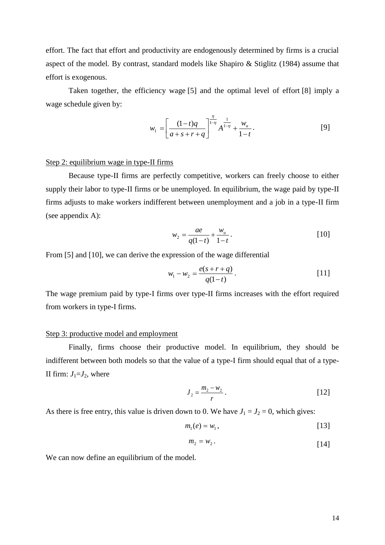effort. The fact that effort and productivity are endogenously determined by firms is a crucial aspect of the model. By contrast, standard models like Shapiro & Stiglitz (1984) assume that effort is exogenous.

Taken together, the efficiency wage [5] and the optimal level of effort [8] imply a wage schedule given by:

$$
w_1 = \left[ \frac{(1-t)q}{a+s+r+q} \right]^{\frac{\eta}{1-\eta}} A^{\frac{1}{1-\eta}} + \frac{w_u}{1-t} . \tag{9}
$$

#### Step 2: equilibrium wage in type-II firms

Because type-II firms are perfectly competitive, workers can freely choose to either supply their labor to type-II firms or be unemployed. In equilibrium, the wage paid by type-II firms adjusts to make workers indifferent between unemployment and a job in a type-II firm (see appendix A):

$$
w_2 = \frac{ae}{q(1-t)} + \frac{w_u}{1-t} \,. \tag{10}
$$

From [5] and [10], we can derive the expression of the wage differential

$$
w_1 - w_2 = \frac{e(s + r + q)}{q(1 - t)}.
$$
 [11]

The wage premium paid by type-I firms over type-II firms increases with the effort required from workers in type-I firms.

#### Step 3: productive model and employment

Finally, firms choose their productive model. In equilibrium, they should be indifferent between both models so that the value of a type-I firm should equal that of a type-II firm:  $J_1 = J_2$ , where

$$
J_2 = \frac{m_2 - w_2}{r} \,. \tag{12}
$$

As there is free entry, this value is driven down to 0. We have  $J_1 = J_2 = 0$ , which gives:

$$
m_1(e) = w_1, \tag{13}
$$

$$
m_2 = w_2. \tag{14}
$$

We can now define an equilibrium of the model.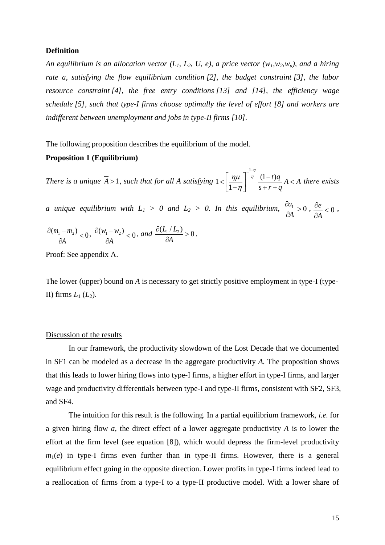#### **Definition**

*An equilibrium is an allocation vector*  $(L_1, L_2, U, e)$ , a price vector  $(w_1, w_2, w_u)$ , and a hiring *rate a, satisfying the flow equilibrium condition [2], the budget constraint [3], the labor resource constraint [4], the free entry conditions [13] and [14], the efficiency wage schedule [5], such that type-I firms choose optimally the level of effort [8] and workers are indifferent between unemployment and jobs in type-II firms [10].* 

The following proposition describes the equilibrium of the model.

#### **Proposition 1 (Equilibrium)**

*There is a unique*  $A > 1$ , *such that for all A satisfying*  $1 < \left| \frac{I\mu}{I} \right|$   $\left| \frac{A - I\mu}{I} \right| A < A$  $s + r + q$  $\frac{t}{q}A$  $+ r +$ ÷,  $\rfloor$  $\overline{\phantom{a}}$ L  $\overline{\phantom{a}}$  $\overline{a}$  $\lt$  $\frac{1-\eta}{\eta}$   $(1-t)$ 1 1 1 η -11  $\eta$  $\frac{\eta\mu}{\eta}$   $\frac{(1-t)q}{4}$   $A \leq \overline{A}$  there exists

*a* unique equilibrium with  $L_1 > 0$  and  $L_2 > 0$ . In this equilibrium,  $\frac{\partial u_1}{\partial \lambda} > 0$  $\partial$  $\partial$ *A*  $\frac{\partial a_1}{\partial A} > 0$ ,  $\frac{\partial e}{\partial A} < 0$  $\hat{o}$  $\partial$ *A*  $\frac{e}{-} < 0$ ,

$$
\frac{\partial (m_1 - m_2)}{\partial A} < 0, \ \frac{\partial (w_1 - w_2)}{\partial A} < 0, \ and \ \frac{\partial (L_1 / L_2)}{\partial A} > 0.
$$

Proof: See appendix A.

The lower (upper) bound on *A* is necessary to get strictly positive employment in type-I (type-II) firms  $L_1(L_2)$ .

#### Discussion of the results

In our framework, the productivity slowdown of the Lost Decade that we documented in SF1 can be modeled as a decrease in the aggregate productivity *A.* The proposition shows that this leads to lower hiring flows into type-I firms, a higher effort in type-I firms, and larger wage and productivity differentials between type-I and type-II firms, consistent with SF2, SF3, and SF4.

The intuition for this result is the following. In a partial equilibrium framework, *i.e.* for a given hiring flow *a*, the direct effect of a lower aggregate productivity *A* is to lower the effort at the firm level (see equation [8]), which would depress the firm-level productivity  $m_1(e)$  in type-I firms even further than in type-II firms. However, there is a general equilibrium effect going in the opposite direction. Lower profits in type-I firms indeed lead to a reallocation of firms from a type-I to a type-II productive model. With a lower share of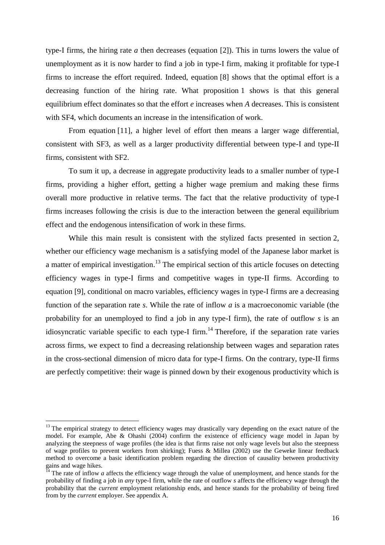type-I firms, the hiring rate *a* then decreases (equation [2]). This in turns lowers the value of unemployment as it is now harder to find a job in type-I firm, making it profitable for type-I firms to increase the effort required. Indeed, equation [8] shows that the optimal effort is a decreasing function of the hiring rate. What proposition 1 shows is that this general equilibrium effect dominates so that the effort *e* increases when *A* decreases. This is consistent with SF4, which documents an increase in the intensification of work.

From equation [11], a higher level of effort then means a larger wage differential, consistent with SF3, as well as a larger productivity differential between type-I and type-II firms, consistent with SF2.

To sum it up, a decrease in aggregate productivity leads to a smaller number of type-I firms, providing a higher effort, getting a higher wage premium and making these firms overall more productive in relative terms. The fact that the relative productivity of type-I firms increases following the crisis is due to the interaction between the general equilibrium effect and the endogenous intensification of work in these firms.

While this main result is consistent with the stylized facts presented in section 2, whether our efficiency wage mechanism is a satisfying model of the Japanese labor market is a matter of empirical investigation.<sup>13</sup> The empirical section of this article focuses on detecting efficiency wages in type-I firms and competitive wages in type-II firms. According to equation [9], conditional on macro variables, efficiency wages in type-I firms are a decreasing function of the separation rate *s*. While the rate of inflow *a* is a macroeconomic variable (the probability for an unemployed to find a job in any type-I firm), the rate of outflow *s* is an idiosyncratic variable specific to each type-I firm.<sup>14</sup> Therefore, if the separation rate varies across firms, we expect to find a decreasing relationship between wages and separation rates in the cross-sectional dimension of micro data for type-I firms. On the contrary, type-II firms are perfectly competitive: their wage is pinned down by their exogenous productivity which is

<sup>&</sup>lt;sup>13</sup> The empirical strategy to detect efficiency wages may drastically vary depending on the exact nature of the model. For example, Abe & Ohashi (2004) confirm the existence of efficiency wage model in Japan by analyzing the steepness of wage profiles (the idea is that firms raise not only wage levels but also the steepness of wage profiles to prevent workers from shirking); Fuess & Millea (2002) use the Geweke linear feedback method to overcome a basic identification problem regarding the direction of causality between productivity gains and wage hikes.

 $I<sup>14</sup>$  The rate of inflow *a* affects the efficiency wage through the value of unemployment, and hence stands for the probability of finding a job in *any* type-I firm, while the rate of outflow *s* affects the efficiency wage through the probability that the *current* employment relationship ends, and hence stands for the probability of being fired from by the *current* employer. See appendix A.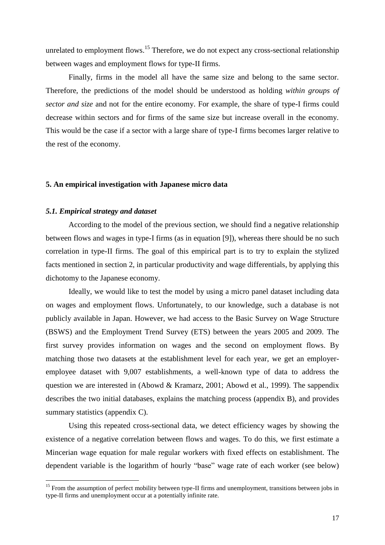unrelated to employment flows.<sup>15</sup> Therefore, we do not expect any cross-sectional relationship between wages and employment flows for type-II firms.

Finally, firms in the model all have the same size and belong to the same sector. Therefore, the predictions of the model should be understood as holding *within groups of sector and size* and not for the entire economy. For example, the share of type-I firms could decrease within sectors and for firms of the same size but increase overall in the economy. This would be the case if a sector with a large share of type-I firms becomes larger relative to the rest of the economy.

#### **5. An empirical investigation with Japanese micro data**

#### *5.1. Empirical strategy and dataset*

<u>.</u>

According to the model of the previous section, we should find a negative relationship between flows and wages in type-I firms (as in equation [9]), whereas there should be no such correlation in type-II firms. The goal of this empirical part is to try to explain the stylized facts mentioned in section 2, in particular productivity and wage differentials, by applying this dichotomy to the Japanese economy.

Ideally, we would like to test the model by using a micro panel dataset including data on wages and employment flows. Unfortunately, to our knowledge, such a database is not publicly available in Japan. However, we had access to the Basic Survey on Wage Structure (BSWS) and the Employment Trend Survey (ETS) between the years 2005 and 2009. The first survey provides information on wages and the second on employment flows. By matching those two datasets at the establishment level for each year, we get an employeremployee dataset with 9,007 establishments, a well-known type of data to address the question we are interested in (Abowd & Kramarz, 2001; Abowd et al., 1999). The sappendix describes the two initial databases, explains the matching process (appendix B), and provides summary statistics (appendix C).

Using this repeated cross-sectional data, we detect efficiency wages by showing the existence of a negative correlation between flows and wages. To do this, we first estimate a Mincerian wage equation for male regular workers with fixed effects on establishment. The dependent variable is the logarithm of hourly "base" wage rate of each worker (see below)

<sup>&</sup>lt;sup>15</sup> From the assumption of perfect mobility between type-II firms and unemployment, transitions between jobs in type-II firms and unemployment occur at a potentially infinite rate.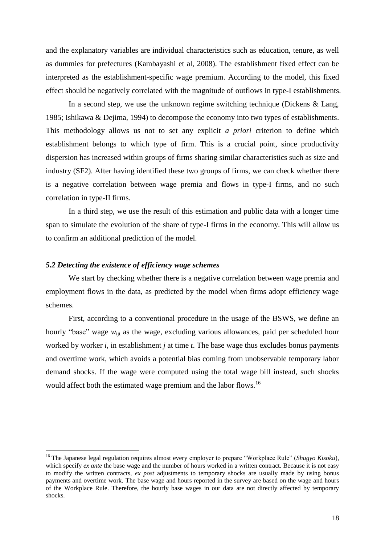and the explanatory variables are individual characteristics such as education, tenure, as well as dummies for prefectures (Kambayashi et al, 2008). The establishment fixed effect can be interpreted as the establishment-specific wage premium. According to the model, this fixed effect should be negatively correlated with the magnitude of outflows in type-I establishments.

In a second step, we use the unknown regime switching technique (Dickens & Lang, 1985; Ishikawa & Dejima, 1994) to decompose the economy into two types of establishments. This methodology allows us not to set any explicit *a priori* criterion to define which establishment belongs to which type of firm. This is a crucial point, since productivity dispersion has increased within groups of firms sharing similar characteristics such as size and industry (SF2). After having identified these two groups of firms, we can check whether there is a negative correlation between wage premia and flows in type-I firms, and no such correlation in type-II firms.

In a third step, we use the result of this estimation and public data with a longer time span to simulate the evolution of the share of type-I firms in the economy. This will allow us to confirm an additional prediction of the model.

#### *5.2 Detecting the existence of efficiency wage schemes*

<u>.</u>

We start by checking whether there is a negative correlation between wage premia and employment flows in the data, as predicted by the model when firms adopt efficiency wage schemes.

First, according to a conventional procedure in the usage of the BSWS, we define an hourly "base" wage  $w_{\text{lit}}$  as the wage, excluding various allowances, paid per scheduled hour worked by worker *i*, in establishment *j* at time *t*. The base wage thus excludes bonus payments and overtime work, which avoids a potential bias coming from unobservable temporary labor demand shocks. If the wage were computed using the total wage bill instead, such shocks would affect both the estimated wage premium and the labor flows.<sup>16</sup>

<sup>&</sup>lt;sup>16</sup> The Japanese legal regulation requires almost every employer to prepare "Workplace Rule" (*Shugyo Kisoku*), which specify *ex ante* the base wage and the number of hours worked in a written contract. Because it is not easy to modify the written contracts, *ex post* adjustments to temporary shocks are usually made by using bonus payments and overtime work. The base wage and hours reported in the survey are based on the wage and hours of the Workplace Rule. Therefore, the hourly base wages in our data are not directly affected by temporary shocks.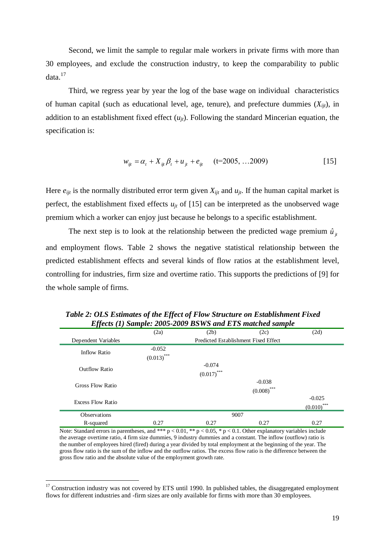Second, we limit the sample to regular male workers in private firms with more than 30 employees, and exclude the construction industry, to keep the comparability to public data.<sup>17</sup>

Third, we regress year by year the log of the base wage on individual characteristics of human capital (such as educational level, age, tenure), and prefecture dummies  $(X_{ijt})$ , in addition to an establishment fixed effect  $(u_{it})$ . Following the standard Mincerian equation, the specification is:

$$
w_{ijt} = \alpha_t + X_{ijt} \beta_t + u_{jt} + e_{ijt} \quad \text{(t=2005, ...2009)} \tag{15}
$$

Here  $e_{ijt}$  is the normally distributed error term given  $X_{ijt}$  and  $u_{jt}$ . If the human capital market is perfect, the establishment fixed effects  $u_{it}$  of [15] can be interpreted as the unobserved wage premium which a worker can enjoy just because he belongs to a specific establishment.

The next step is to look at the relationship between the predicted wage premium  $\hat{u}_{j}$ and employment flows. Table 2 shows the negative statistical relationship between the predicted establishment effects and several kinds of flow ratios at the establishment level, controlling for industries, firm size and overtime ratio. This supports the predictions of [9] for the whole sample of firms.

| (2a)          | (2b)     | (2c)                        | (2d)                                         |
|---------------|----------|-----------------------------|----------------------------------------------|
|               |          |                             |                                              |
| $-0.052$      |          |                             |                                              |
| $(0.013)$ *** |          |                             |                                              |
|               | $-0.074$ |                             |                                              |
|               |          |                             |                                              |
|               |          | $-0.038$                    |                                              |
|               |          | ***<br>$(0.008)^{^{\circ}}$ |                                              |
|               |          |                             | $-0.025$                                     |
|               |          |                             | $(0.010)$ ***                                |
|               |          |                             |                                              |
| 0.27          | 0.27     | 0.27                        | 0.27                                         |
|               |          | $(0.017)$ ***               | Predicted Establishment Fixed Effect<br>9007 |

*Table 2: OLS Estimates of the Effect of Flow Structure on Establishment Fixed Effects (1) Sample: 2005-2009 BSWS and ETS matched sample*

Note: Standard errors in parentheses, and \*\*\*  $p < 0.01$ , \*\*  $p < 0.05$ , \*  $p < 0.1$ . Other explanatory variables include the average overtime ratio, 4 firm size dummies, 9 industry dummies and a constant. The inflow (outflow) ratio is the number of employees hired (fired) during a year divided by total employment at the beginning of the year. The gross flow ratio is the sum of the inflow and the outflow ratios. The excess flow ratio is the difference between the gross flow ratio and the absolute value of the employment growth rate.

<u>.</u>

<sup>&</sup>lt;sup>17</sup> Construction industry was not covered by ETS until 1990. In published tables, the disaggregated employment flows for different industries and -firm sizes are only available for firms with more than 30 employees.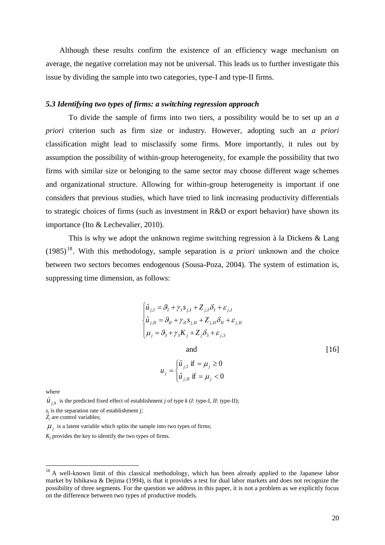Although these results confirm the existence of an efficiency wage mechanism on average, the negative correlation may not be universal. This leads us to further investigate this issue by dividing the sample into two categories, type-I and type-II firms.

#### *5.3 Identifying two types of firms: a switching regression approach*

To divide the sample of firms into two tiers, a possibility would be to set up an *a priori* criterion such as firm size or industry. However, adopting such an *a priori* classification might lead to misclassify some firms. More importantly, it rules out by assumption the possibility of within-group heterogeneity, for example the possibility that two firms with similar size or belonging to the same sector may choose different wage schemes and organizational structure. Allowing for within-group heterogeneity is important if one considers that previous studies, which have tried to link increasing productivity differentials to strategic choices of firms (such as investment in R&D or export behavior) have shown its importance (Ito & Lechevalier, 2010).

This is why we adopt the unknown regime switching regression à la Dickens & Lang  $(1985)^{18}$ . With this methodology, sample separation is *a priori* unknown and the choice between two sectors becomes endogenous (Sousa-Poza, 2004). The system of estimation is, suppressing time dimension, as follows:

$$
\begin{cases} \hat{u}_{j,I} = \mathcal{G}_I + \gamma_I s_{j,I} + Z_{j,I} \delta_I + \varepsilon_{j,I} \\ \hat{u}_{j,H} = \mathcal{G}_H + \gamma_H s_{j,H} + Z_{j,H} \delta_H + \varepsilon_{j,H} \\ \mu_j = \mathcal{G}_3 + \gamma_3 K_j + Z_j \delta_3 + \varepsilon_{j,3} \end{cases}
$$

and [16]

 $\overline{\mathcal{L}}$  $\vert$  $\left\{ \right.$  $\overline{\phantom{a}}$  $=\mu_i$  $=\mu_i \geq$  $=$  $\hat{u}_{i}$ <sub>i</sub> if  $=\mu_i<0$  $\hat{u}_{i}$ , if  $=\mu_{i}\geq 0$ , ,  $j$ ,*II*  $\mathbf{u} - \boldsymbol{\mu}_j$  $j, I$  *ii*  $-\mu$ <sub>*j*</sub>  $\hat{\mu}$ <sup>-</sup> $\hat{\mu}$ *u u*  $\mu$  $\mu$ 

where

1

 $\widehat{\mu}_{_{j,k}}$  $\hat{u}_{i,k}$  is the predicted fixed effect of establishment *j* of type *k* (*I*: type-I, *II*: type-II);

 $s_j$  is the separation rate of establishment *j*;

*Z<sup>j</sup>* are control variables;

 $\mu_j$  is a latent variable which splits the sample into two types of firms;

 $K_i$  provides the key to identify the two types of firms.

 $18$  A well-known limit of this classical methodology, which has been already applied to the Japanese labor market by Ishikawa & Dejima (1994), is that it provides a test for dual labor markets and does not recognize the possibility of three segments. For the question we address in this paper, it is not a problem as we explicitly focus on the difference between two types of productive models.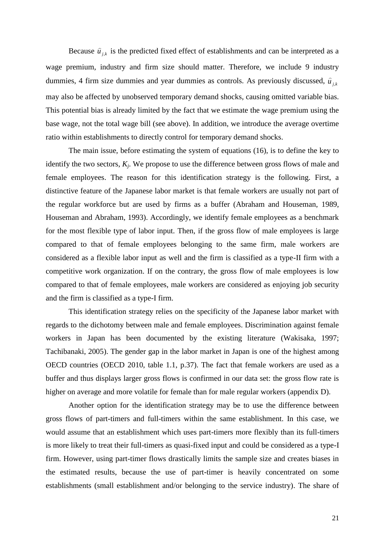Because  $\hat{u}_{j,k}$  $\hat{u}_{ik}$  is the predicted fixed effect of establishments and can be interpreted as a wage premium, industry and firm size should matter. Therefore, we include 9 industry dummies, 4 firm size dummies and year dummies as controls. As previously discussed,  $\hat{u}_{j,k}$  $\overline{a}$ may also be affected by unobserved temporary demand shocks, causing omitted variable bias. This potential bias is already limited by the fact that we estimate the wage premium using the base wage, not the total wage bill (see above). In addition, we introduce the average overtime ratio within establishments to directly control for temporary demand shocks.

The main issue, before estimating the system of equations (16), is to define the key to identify the two sectors, *K<sup>j</sup>* . We propose to use the difference between gross flows of male and female employees. The reason for this identification strategy is the following. First, a distinctive feature of the Japanese labor market is that female workers are usually not part of the regular workforce but are used by firms as a buffer (Abraham and Houseman, 1989, Houseman and Abraham, 1993). Accordingly, we identify female employees as a benchmark for the most flexible type of labor input. Then, if the gross flow of male employees is large compared to that of female employees belonging to the same firm, male workers are considered as a flexible labor input as well and the firm is classified as a type-II firm with a competitive work organization. If on the contrary, the gross flow of male employees is low compared to that of female employees, male workers are considered as enjoying job security and the firm is classified as a type-I firm.

This identification strategy relies on the specificity of the Japanese labor market with regards to the dichotomy between male and female employees. Discrimination against female workers in Japan has been documented by the existing literature (Wakisaka, 1997; Tachibanaki, 2005). The gender gap in the labor market in Japan is one of the highest among OECD countries (OECD 2010, table 1.1, p.37). The fact that female workers are used as a buffer and thus displays larger gross flows is confirmed in our data set: the gross flow rate is higher on average and more volatile for female than for male regular workers (appendix D).

Another option for the identification strategy may be to use the difference between gross flows of part-timers and full-timers within the same establishment. In this case, we would assume that an establishment which uses part-timers more flexibly than its full-timers is more likely to treat their full-timers as quasi-fixed input and could be considered as a type-I firm. However, using part-timer flows drastically limits the sample size and creates biases in the estimated results, because the use of part-timer is heavily concentrated on some establishments (small establishment and/or belonging to the service industry). The share of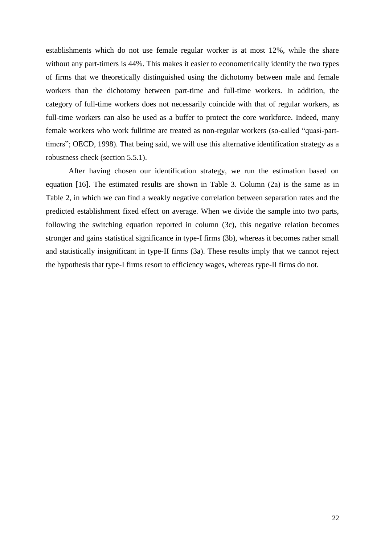establishments which do not use female regular worker is at most 12%, while the share without any part-timers is 44%. This makes it easier to econometrically identify the two types of firms that we theoretically distinguished using the dichotomy between male and female workers than the dichotomy between part-time and full-time workers. In addition, the category of full-time workers does not necessarily coincide with that of regular workers, as full-time workers can also be used as a buffer to protect the core workforce. Indeed, many female workers who work fulltime are treated as non-regular workers (so-called "quasi-parttimers"; OECD, 1998). That being said, we will use this alternative identification strategy as a robustness check (section 5.5.1).

After having chosen our identification strategy, we run the estimation based on equation [16]. The estimated results are shown in Table 3. Column (2a) is the same as in Table 2, in which we can find a weakly negative correlation between separation rates and the predicted establishment fixed effect on average. When we divide the sample into two parts, following the switching equation reported in column (3c), this negative relation becomes stronger and gains statistical significance in type-I firms (3b), whereas it becomes rather small and statistically insignificant in type-II firms (3a). These results imply that we cannot reject the hypothesis that type-I firms resort to efficiency wages, whereas type-II firms do not.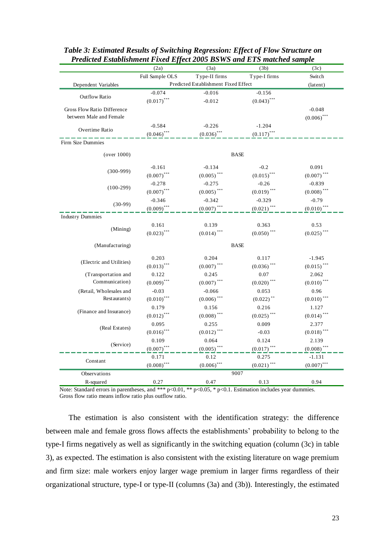|                             | (2a)                                 | (3a)                     | (3b)                     | (3c)                     |
|-----------------------------|--------------------------------------|--------------------------|--------------------------|--------------------------|
|                             | Full Sample OLS                      | Type-II firms            | Type-I firms             | Switch                   |
| Dependent Variables         | Predicted Establishment Fixed Effect | (latent)                 |                          |                          |
|                             | $-0.074$                             | $-0.016$                 | $-0.156$                 |                          |
| Outflow Ratio               | $(0.017)$ ***                        | $-0.012$                 | $(0.043)$ ***            |                          |
| Gross Flow Ratio Difference |                                      |                          |                          | $-0.048$                 |
| between Male and Female     |                                      |                          |                          | $(0.006)$ ***            |
|                             | $-0.584$                             | $-0.226$                 | $-1.204$                 |                          |
| Overtime Ratio              | $(0.046)$ ***                        | $(0.036)$ ***            | $(0.117)$ ***            |                          |
| Firm Size Dummies           |                                      |                          |                          |                          |
| (over 1000)                 |                                      | <b>BASE</b>              |                          |                          |
|                             | $-0.161$                             | $-0.134$                 | $-0.2$                   | 0.091                    |
| $(300-999)$                 | $(0.007)$ ***                        | $(0.005)$ ***            | $(0.015)$ ***            | $(0.007)$ ***            |
|                             | $-0.278$                             | $-0.275$                 | $-0.26$                  | $-0.839$                 |
| $(100-299)$                 | $(0.007)$ ***                        | $(0.005)$ ***            | $(0.019)$ ***            | $(0.008)$ ***            |
|                             | $-0.346$                             | $-0.342$                 | $-0.329$                 | $-0.79$                  |
| $(30-99)$                   | $(0.009)$ ***                        | $(0.007)$ ***            | $(0.021)$ <sup>***</sup> | $(0.010)$ ***            |
| <b>Industry Dummies</b>     |                                      |                          |                          |                          |
|                             | 0.161                                | 0.139                    | 0.363                    | 0.53                     |
| (Mining)                    | $(0.023)$ ***                        | $(0.014)$ <sup>***</sup> | $(0.050)$ ***            | $(0.025)$ ***            |
| (Manufacturing)             |                                      | <b>BASE</b>              |                          |                          |
|                             | 0.203                                | 0.204                    | 0.117                    | $-1.945$                 |
| (Electric and Utilities)    | $(0.013)$ ***                        | $(0.007)$ ***            | $(0.036)$ ***            | $(0.015)$ <sup>***</sup> |
| (Transportation and         | 0.122                                | 0.245                    | 0.07                     | 2.062                    |
| Communication)              | $(0.009)$ ***                        | $(0.007)$ ***            | $(0.020)$ ***            | $(0.010)$ ***            |
| (Retail, Wholesales and     | $-0.03$                              | $-0.066$                 | 0.053                    | 0.96                     |
| Restaurants)                | $(0.010)$ ***                        | $(0.006)$ ***            | $(0.022)$ <sup>**</sup>  | $(0.010)$ ***            |
|                             | 0.179                                | 0.156                    | 0.216                    | 1.127                    |
| (Finance and Insurance)     | $(0.012)$ ***                        | $(0.008)$ ***            | $(0.025)$ ***            | $(0.014)$ ***            |
|                             | 0.095                                | 0.255                    | 0.009                    | 2.377                    |
| (Real Estates)              | $(0.016)$ ***                        | $(0.012)$ <sup>***</sup> | $-0.03$                  | $(0.018)$ ***            |
|                             | 0.109                                | 0.064                    | 0.124                    | 2.139                    |
| (Service)                   | $(0.007)$ ***                        | $(0.005)$ <sup>***</sup> | $(0.017)$ ***            | $(0.008)$ ***            |
|                             | 0.171                                | 0.12                     | 0.275                    | $-1.131$                 |
| Constant                    | $(0.008)$ ***                        | $(0.006)$ ***            | $(0.021)$ ***            | $(0.007)$ ***            |
| Observations                |                                      | 9007                     |                          |                          |
| R-squared                   | 0.27                                 | 0.47                     | 0.13                     | 0.94                     |

#### *Table 3: Estimated Results of Switching Regression: Effect of Flow Structure on Predicted Establishment Fixed Effect 2005 BSWS and ETS matched sample*

Note: Standard errors in parentheses, and \*\*\* p<0.01, \*\* p<0.05, \* p<0.1. Estimation includes year dummies. Gross flow ratio means inflow ratio plus outflow ratio.

The estimation is also consistent with the identification strategy: the difference between male and female gross flows affects the establishments' probability to belong to the type-I firms negatively as well as significantly in the switching equation (column (3c) in table 3), as expected. The estimation is also consistent with the existing literature on wage premium and firm size: male workers enjoy larger wage premium in larger firms regardless of their organizational structure, type-I or type-II (columns (3a) and (3b)). Interestingly, the estimated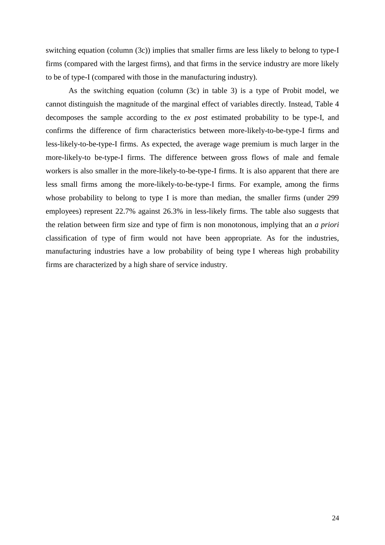switching equation (column (3c)) implies that smaller firms are less likely to belong to type-I firms (compared with the largest firms), and that firms in the service industry are more likely to be of type-I (compared with those in the manufacturing industry).

As the switching equation (column (3c) in table 3) is a type of Probit model, we cannot distinguish the magnitude of the marginal effect of variables directly. Instead, Table 4 decomposes the sample according to the *ex post* estimated probability to be type-I, and confirms the difference of firm characteristics between more-likely-to-be-type-I firms and less-likely-to-be-type-I firms. As expected, the average wage premium is much larger in the more-likely-to be-type-I firms. The difference between gross flows of male and female workers is also smaller in the more-likely-to-be-type-I firms. It is also apparent that there are less small firms among the more-likely-to-be-type-I firms. For example, among the firms whose probability to belong to type I is more than median, the smaller firms (under 299 employees) represent 22.7% against 26.3% in less-likely firms. The table also suggests that the relation between firm size and type of firm is non monotonous, implying that an *a priori* classification of type of firm would not have been appropriate. As for the industries, manufacturing industries have a low probability of being type I whereas high probability firms are characterized by a high share of service industry.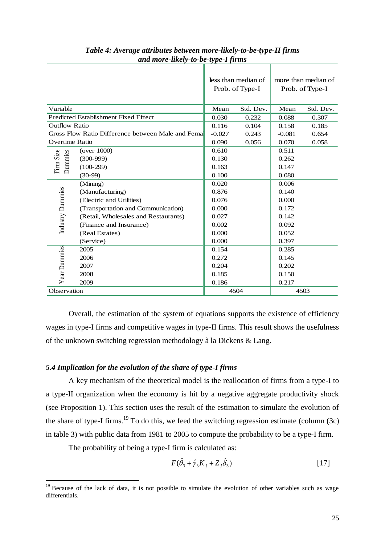|                                      |                                                    | less than median of<br>Prob. of Type-I |           | more than median of<br>Prob. of Type-I |           |
|--------------------------------------|----------------------------------------------------|----------------------------------------|-----------|----------------------------------------|-----------|
| Variable                             |                                                    | Mean                                   | Std. Dev. | Mean                                   | Std. Dev. |
|                                      | Predicted Establishment Fixed Effect               | 0.030                                  | 0.232     | 0.088                                  | 0.307     |
| <b>Outflow Ratio</b>                 |                                                    | 0.116                                  | 0.104     | 0.158                                  | 0.185     |
|                                      | Gross Flow Ratio Difference between Male and Femal | $-0.027$                               | 0.243     | $-0.081$                               | 0.654     |
| <b>Overtime Ratio</b>                |                                                    | 0.090                                  | 0.056     | 0.070                                  | 0.058     |
|                                      | (over $1000$ )                                     | 0.610                                  |           | 0.511                                  |           |
| Dummies<br>Firm Size                 | $(300-999)$                                        | 0.130                                  |           | 0.262                                  |           |
|                                      | $(100-299)$                                        | 0.163                                  |           | 0.147                                  |           |
|                                      | $(30-99)$                                          | 0.100                                  |           | 0.080                                  |           |
| Industry Dummies                     | (Mining)                                           | 0.020                                  |           | 0.006                                  |           |
|                                      | (Manufacturing)                                    | 0.876                                  |           | 0.140                                  |           |
|                                      | (Electric and Utilities)                           | 0.076                                  |           | 0.000                                  |           |
|                                      | (Transportation and Communication)                 | 0.000                                  |           | 0.172                                  |           |
| (Retail, Wholesales and Restaurants) |                                                    | 0.027                                  |           | 0.142                                  |           |
|                                      | (Finance and Insurance)                            | 0.002                                  |           | 0.092                                  |           |
|                                      | (Real Estates)                                     | 0.000                                  |           | 0.052                                  |           |
|                                      | (Service)                                          | 0.000                                  |           | 0.397                                  |           |
|                                      | 2005                                               | 0.154                                  |           | 0.285                                  |           |
|                                      | 2006                                               | 0.272                                  |           | 0.145                                  |           |
| Year Dummies                         | 2007                                               | 0.204                                  |           | 0.202                                  |           |
|                                      | 2008                                               | 0.185                                  |           | 0.150                                  |           |
|                                      | 2009                                               | 0.186                                  |           | 0.217                                  |           |
| Observation                          |                                                    |                                        | 4504      |                                        | 4503      |

## *Table 4: Average attributes between more-likely-to-be-type-II firms and more-likely-to-be-type-I firms*

Overall, the estimation of the system of equations supports the existence of efficiency wages in type-I firms and competitive wages in type-II firms. This result shows the usefulness of the unknown switching regression methodology à la Dickens & Lang.

## *5.4 Implication for the evolution of the share of type-I firms*

A key mechanism of the theoretical model is the reallocation of firms from a type-I to a type-II organization when the economy is hit by a negative aggregate productivity shock (see Proposition 1). This section uses the result of the estimation to simulate the evolution of the share of type-I firms.<sup>19</sup> To do this, we feed the switching regression estimate (column (3c) in table 3) with public data from 1981 to 2005 to compute the probability to be a type-I firm.

The probability of being a type-I firm is calculated as:

<u>.</u>

$$
F(\hat{\theta}_3 + \hat{\gamma}_3 K_j + Z_j \hat{\delta}_3)
$$
 [17]

<sup>&</sup>lt;sup>19</sup> Because of the lack of data, it is not possible to simulate the evolution of other variables such as wage differentials.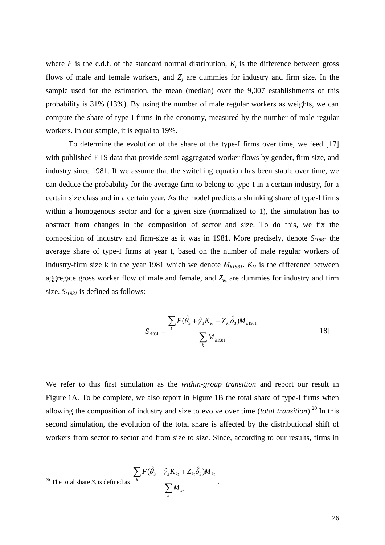where *F* is the c.d.f. of the standard normal distribution,  $K_i$  is the difference between gross flows of male and female workers, and  $Z_j$  are dummies for industry and firm size. In the sample used for the estimation, the mean (median) over the 9,007 establishments of this probability is 31% (13%). By using the number of male regular workers as weights, we can compute the share of type-I firms in the economy, measured by the number of male regular workers. In our sample, it is equal to 19%.

To determine the evolution of the share of the type-I firms over time, we feed [17] with published ETS data that provide semi-aggregated worker flows by gender, firm size, and industry since 1981. If we assume that the switching equation has been stable over time, we can deduce the probability for the average firm to belong to type-I in a certain industry, for a certain size class and in a certain year. As the model predicts a shrinking share of type-I firms within a homogenous sector and for a given size (normalized to 1), the simulation has to abstract from changes in the composition of sector and size. To do this, we fix the composition of industry and firm-size as it was in 1981. More precisely, denote *St1981* the average share of type-I firms at year t, based on the number of male regular workers of industry-firm size k in the year 1981 which we denote  $M_{k1981}$ .  $K_{kt}$  is the difference between aggregate gross worker flow of male and female, and *Zkt* are dummies for industry and firm size. *St1981* is defined as follows:

$$
S_{t1981} = \frac{\sum_{k} F(\hat{\theta}_{3} + \hat{\gamma}_{3} K_{kt} + Z_{kt} \hat{\delta}_{3}) M_{k1981}}{\sum_{k} M_{k1981}}
$$
 [18]

We refer to this first simulation as the *within-group transition* and report our result in Figure 1A. To be complete, we also report in Figure 1B the total share of type-I firms when allowing the composition of industry and size to evolve over time (*total transition*).<sup>20</sup> In this second simulation, the evolution of the total share is affected by the distributional shift of workers from sector to sector and from size to size. Since, according to our results, firms in

<sup>20</sup> The total share *S<sub>t</sub>* is defined as  $\frac{k}{\sum_{i=1}^{k} n_i}$  $\sum F(\hat{\theta}_3 + \hat{\gamma}_3 K_{kt} +$ *k kt kt k*  $kt$ <sup> $\mathcal{L}_k$ </sup> *M*  $F(\hat{\theta}_3 + \hat{\gamma}_3 K_{kt} + Z_{kt} \hat{\delta}_3)M$ .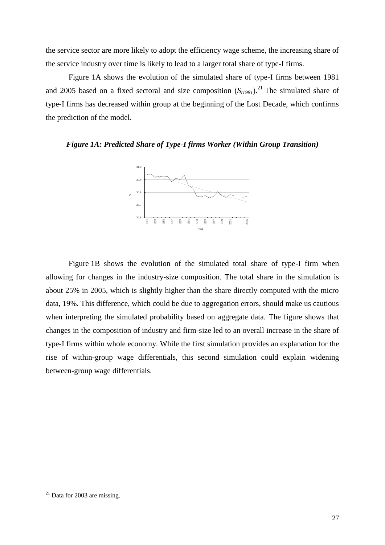the service sector are more likely to adopt the efficiency wage scheme, the increasing share of the service industry over time is likely to lead to a larger total share of type-I firms.

Figure 1A shows the evolution of the simulated share of type-I firms between 1981 and 2005 based on a fixed sectoral and size composition  $(S_{t1981})$ <sup>21</sup>. The simulated share of type-I firms has decreased within group at the beginning of the Lost Decade, which confirms the prediction of the model.

*Figure 1A: Predicted Share of Type-I firms Worker (Within Group Transition)*



Figure 1B shows the evolution of the simulated total share of type-I firm when allowing for changes in the industry-size composition. The total share in the simulation is about 25% in 2005, which is slightly higher than the share directly computed with the micro data, 19%. This difference, which could be due to aggregation errors, should make us cautious when interpreting the simulated probability based on aggregate data. The figure shows that changes in the composition of industry and firm-size led to an overall increase in the share of type-I firms within whole economy. While the first simulation provides an explanation for the rise of within-group wage differentials, this second simulation could explain widening between-group wage differentials.

 $21$  Data for 2003 are missing.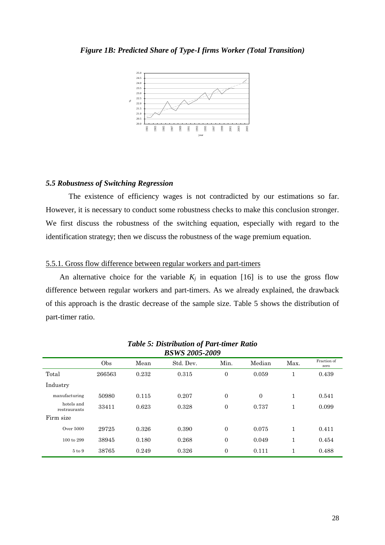

#### *5.5 Robustness of Switching Regression*

The existence of efficiency wages is not contradicted by our estimations so far. However, it is necessary to conduct some robustness checks to make this conclusion stronger. We first discuss the robustness of the switching equation, especially with regard to the identification strategy; then we discuss the robustness of the wage premium equation.

#### 5.5.1. Gross flow difference between regular workers and part-timers

An alternative choice for the variable  $K_j$  in equation [16] is to use the gross flow difference between regular workers and part-timers. As we already explained, the drawback of this approach is the drastic decrease of the sample size. Table 5 shows the distribution of part-timer ratio.

| <b>BSWS 2005-2009</b>      |        |       |           |              |              |      |                     |
|----------------------------|--------|-------|-----------|--------------|--------------|------|---------------------|
|                            | Obs    | Mean  | Std. Dev. | Min.         | Median       | Max. | Fraction of<br>zero |
| Total                      | 266563 | 0.232 | 0.315     | $\theta$     | 0.059        |      | 0.439               |
| Industry                   |        |       |           |              |              |      |                     |
| manufacturing              | 50980  | 0.115 | 0.207     | $\theta$     | $\mathbf{0}$ | 1    | 0.541               |
| hotels and<br>restraurants | 33411  | 0.623 | 0.328     | $\theta$     | 0.737        | 1    | 0.099               |
| Firm size                  |        |       |           |              |              |      |                     |
| Over 5000                  | 29725  | 0.326 | 0.390     | $\theta$     | 0.075        | 1    | 0.411               |
| 100 to 299                 | 38945  | 0.180 | 0.268     | $\mathbf{0}$ | 0.049        | 1    | 0.454               |
| 5 to 9                     | 38765  | 0.249 | 0.326     | $\theta$     | 0.111        | 1    | 0.488               |

# *Table 5: Distribution of Part-timer Ratio*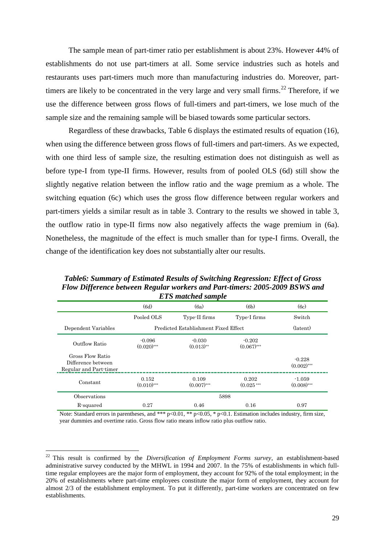The sample mean of part-timer ratio per establishment is about 23%. However 44% of establishments do not use part-timers at all. Some service industries such as hotels and restaurants uses part-timers much more than manufacturing industries do. Moreover, parttimers are likely to be concentrated in the very large and very small firms.<sup>22</sup> Therefore, if we use the difference between gross flows of full-timers and part-timers, we lose much of the sample size and the remaining sample will be biased towards some particular sectors.

Regardless of these drawbacks, Table 6 displays the estimated results of equation (16), when using the difference between gross flows of full-timers and part-timers. As we expected, with one third less of sample size, the resulting estimation does not distinguish as well as before type-I from type-II firms. However, results from of pooled OLS (6d) still show the slightly negative relation between the inflow ratio and the wage premium as a whole. The switching equation (6c) which uses the gross flow difference between regular workers and part-timers yields a similar result as in table 3. Contrary to the results we showed in table 3, the outflow ratio in type-II firms now also negatively affects the wage premium in (6a). Nonetheless, the magnitude of the effect is much smaller than for type-I firms. Overall, the change of the identification key does not substantially alter our results.

*Table6: Summary of Estimated Results of Switching Regression: Effect of Gross Flow Difference between Regular workers and Part-timers: 2005-2009 BSWS and ETS matched sample*

| пля типенси затри                                                |                           |                                      |                           |                           |  |  |
|------------------------------------------------------------------|---------------------------|--------------------------------------|---------------------------|---------------------------|--|--|
|                                                                  | (ddd)                     | (6a)                                 | (6b)                      | (6c)                      |  |  |
|                                                                  | Pooled OLS                | Type-II firms                        | Type-I firms              | Switch                    |  |  |
| Dependent Variables                                              |                           | Predicted Establishment Fixed Effect |                           | (latent)                  |  |  |
| Outflow Ratio                                                    | $-0.096$<br>$(0.020)$ *** | $-0.030$<br>$(0.013)$ **             | $-0.202$<br>$(0.067)$ *** |                           |  |  |
| Gross Flow Ratio<br>Difference between<br>Regular and Part-timer |                           |                                      |                           | $-0.228$<br>$(0.002)$ *** |  |  |
| Constant                                                         | 0.152<br>$(0.010)$ ***    | 0.109<br>$(0.007)$ ***               | 0.202<br>$(0.025***$      | $-1.059$<br>$(0.008)$ *** |  |  |
| Observations                                                     |                           | 5898                                 |                           |                           |  |  |
| R-squared                                                        | 0.27                      | 0.46                                 | 0.16                      | 0.97                      |  |  |

Note: Standard errors in parentheses, and \*\*\* p<0.01, \*\* p<0.05, \* p<0.1. Estimation includes industry, firm size, year dummies and overtime ratio. Gross flow ratio means inflow ratio plus outflow ratio.

<u>.</u>

<sup>22</sup> This result is confirmed by the *Diversification of Employment Forms survey*, an establishment-based administrative survey conducted by the MHWL in 1994 and 2007. In the 75% of establishments in which fulltime regular employees are the major form of employment, they account for 92% of the total employment; in the 20% of establishments where part-time employees constitute the major form of employment, they account for almost 2/3 of the establishment employment. To put it differently, part-time workers are concentrated on few establishments.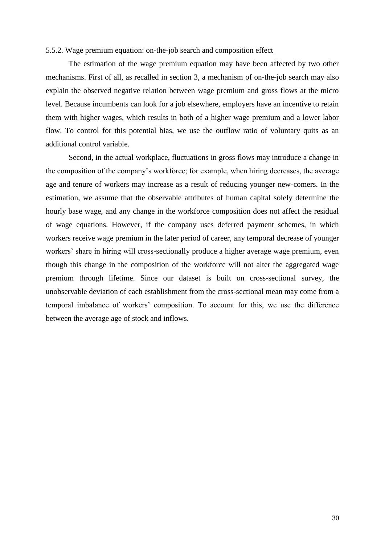#### 5.5.2. Wage premium equation: on-the-job search and composition effect

The estimation of the wage premium equation may have been affected by two other mechanisms. First of all, as recalled in section 3, a mechanism of on-the-job search may also explain the observed negative relation between wage premium and gross flows at the micro level. Because incumbents can look for a job elsewhere, employers have an incentive to retain them with higher wages, which results in both of a higher wage premium and a lower labor flow. To control for this potential bias, we use the outflow ratio of voluntary quits as an additional control variable.

Second, in the actual workplace, fluctuations in gross flows may introduce a change in the composition of the company's workforce; for example, when hiring decreases, the average age and tenure of workers may increase as a result of reducing younger new-comers. In the estimation, we assume that the observable attributes of human capital solely determine the hourly base wage, and any change in the workforce composition does not affect the residual of wage equations. However, if the company uses deferred payment schemes, in which workers receive wage premium in the later period of career, any temporal decrease of younger workers' share in hiring will cross-sectionally produce a higher average wage premium, even though this change in the composition of the workforce will not alter the aggregated wage premium through lifetime. Since our dataset is built on cross-sectional survey, the unobservable deviation of each establishment from the cross-sectional mean may come from a temporal imbalance of workers' composition. To account for this, we use the difference between the average age of stock and inflows.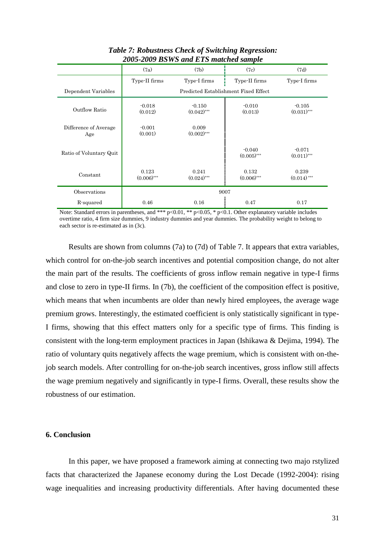| $2000$ 2007 DD 110 and LLD matched sample |                        |                                      |                           |                           |  |  |
|-------------------------------------------|------------------------|--------------------------------------|---------------------------|---------------------------|--|--|
|                                           | (7a)                   | (7 <sub>b</sub> )                    | (7c)                      | (7d)                      |  |  |
|                                           | Type-II firms          | Type-I firms                         | Type-II firms             | Type-I firms              |  |  |
| Dependent Variables                       |                        | Predicted Establishment Fixed Effect |                           |                           |  |  |
| Outflow Ratio                             | $-0.018$<br>(0.012)    | $-0.150$<br>$(0.042)$ ***            | $-0.010$<br>(0.013)       | $-0.105$<br>$(0.031)$ *** |  |  |
| Difference of Average<br>Age              | $-0.001$<br>(0.001)    | 0.009<br>$(0.002)$ ***               |                           |                           |  |  |
| Ratio of Voluntary Quit                   |                        |                                      | $-0.040$<br>$(0.005)$ *** | $-0.071$<br>$(0.011)$ *** |  |  |
| Constant                                  | 0.123<br>$(0.006)$ *** | 0.241<br>$(0.024)$ ***               | 0.132<br>$(0.006)$ ***    | 0.239<br>$(0.014)$ ***    |  |  |
| Observations                              |                        | 9007                                 |                           |                           |  |  |
| R-squared                                 | 0.46                   | 0.16                                 | 0.47                      | 0.17                      |  |  |

## *Table 7: Robustness Check of Switching Regression: 2005-2009 BSWS and ETS matched sample*

Note: Standard errors in parentheses, and \*\*\*  $p<0.01$ , \*\*  $p<0.05$ , \*  $p<0.1$ . Other explanatory variable includes overtime ratio, 4 firm size dummies, 9 industry dummies and year dummies. The probability weight to belong to each sector is re-estimated as in (3c).

Results are shown from columns (7a) to (7d) of Table 7. It appears that extra variables, which control for on-the-job search incentives and potential composition change, do not alter the main part of the results. The coefficients of gross inflow remain negative in type-I firms and close to zero in type-II firms. In (7b), the coefficient of the composition effect is positive, which means that when incumbents are older than newly hired employees, the average wage premium grows. Interestingly, the estimated coefficient is only statistically significant in type-I firms, showing that this effect matters only for a specific type of firms. This finding is consistent with the long-term employment practices in Japan (Ishikawa & Dejima, 1994). The ratio of voluntary quits negatively affects the wage premium, which is consistent with on-thejob search models. After controlling for on-the-job search incentives, gross inflow still affects the wage premium negatively and significantly in type-I firms. Overall, these results show the robustness of our estimation.

#### **6. Conclusion**

In this paper, we have proposed a framework aiming at connecting two majo rstylized facts that characterized the Japanese economy during the Lost Decade (1992-2004): rising wage inequalities and increasing productivity differentials. After having documented these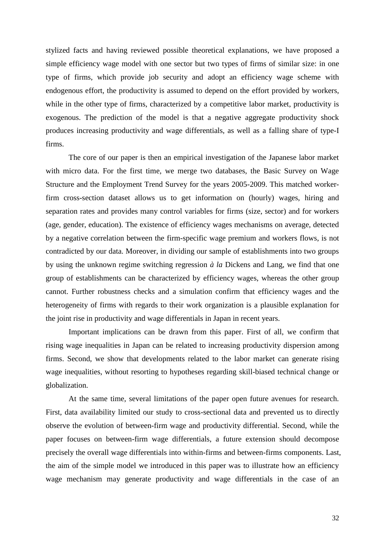stylized facts and having reviewed possible theoretical explanations, we have proposed a simple efficiency wage model with one sector but two types of firms of similar size: in one type of firms, which provide job security and adopt an efficiency wage scheme with endogenous effort, the productivity is assumed to depend on the effort provided by workers, while in the other type of firms, characterized by a competitive labor market, productivity is exogenous. The prediction of the model is that a negative aggregate productivity shock produces increasing productivity and wage differentials, as well as a falling share of type-I firms.

The core of our paper is then an empirical investigation of the Japanese labor market with micro data. For the first time, we merge two databases, the Basic Survey on Wage Structure and the Employment Trend Survey for the years 2005-2009. This matched workerfirm cross-section dataset allows us to get information on (hourly) wages, hiring and separation rates and provides many control variables for firms (size, sector) and for workers (age, gender, education). The existence of efficiency wages mechanisms on average, detected by a negative correlation between the firm-specific wage premium and workers flows, is not contradicted by our data. Moreover, in dividing our sample of establishments into two groups by using the unknown regime switching regression *à la* Dickens and Lang, we find that one group of establishments can be characterized by efficiency wages, whereas the other group cannot. Further robustness checks and a simulation confirm that efficiency wages and the heterogeneity of firms with regards to their work organization is a plausible explanation for the joint rise in productivity and wage differentials in Japan in recent years.

Important implications can be drawn from this paper. First of all, we confirm that rising wage inequalities in Japan can be related to increasing productivity dispersion among firms. Second, we show that developments related to the labor market can generate rising wage inequalities, without resorting to hypotheses regarding skill-biased technical change or globalization.

At the same time, several limitations of the paper open future avenues for research. First, data availability limited our study to cross-sectional data and prevented us to directly observe the evolution of between-firm wage and productivity differential. Second, while the paper focuses on between-firm wage differentials, a future extension should decompose precisely the overall wage differentials into within-firms and between-firms components. Last, the aim of the simple model we introduced in this paper was to illustrate how an efficiency wage mechanism may generate productivity and wage differentials in the case of an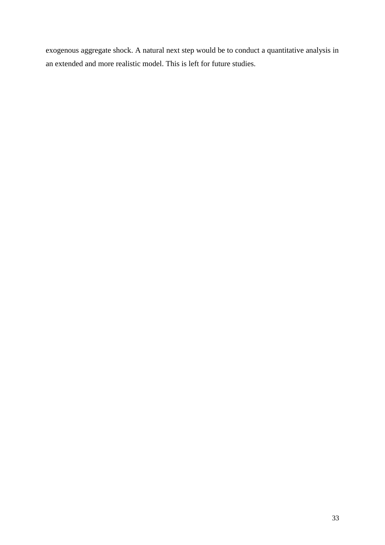exogenous aggregate shock. A natural next step would be to conduct a quantitative analysis in an extended and more realistic model. This is left for future studies.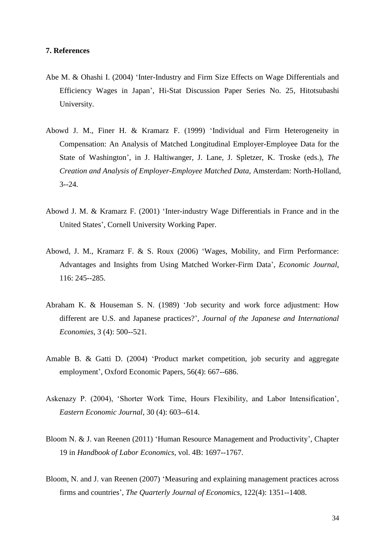#### **7. References**

- Abe M. & Ohashi I. (2004) 'Inter-Industry and Firm Size Effects on Wage Differentials and Efficiency Wages in Japan', Hi-Stat Discussion Paper Series No. 25, Hitotsubashi University.
- Abowd J. M., Finer H. & Kramarz F. (1999) 'Individual and Firm Heterogeneity in Compensation: An Analysis of Matched Longitudinal Employer-Employee Data for the State of Washington', in J. Haltiwanger, J. Lane, J. Spletzer, K. Troske (eds.), *The Creation and Analysis of Employer-Employee Matched Data*, Amsterdam: North-Holland, 3--24.
- Abowd J. M. & Kramarz F. (2001) 'Inter-industry Wage Differentials in France and in the United States', Cornell University Working Paper.
- Abowd, J. M., Kramarz F. & S. Roux (2006) ‗Wages, Mobility, and Firm Performance: Advantages and Insights from Using Matched Worker-Firm Data', *Economic Journal*, 116: 245--285.
- Abraham K. & Houseman S. N. (1989) 'Job security and work force adjustment: How different are U.S. and Japanese practices?', *Journal of the Japanese and International Economies*, 3 (4): 500--521.
- Amable B. & Gatti D. (2004) 'Product market competition, job security and aggregate employment', Oxford Economic Papers, 56(4): 667--686.
- Askenazy P. (2004), 'Shorter Work Time, Hours Flexibility, and Labor Intensification', *Eastern Economic Journal*, 30 (4): 603--614.
- Bloom N. & J. van Reenen (2011) ‗Human Resource Management and Productivity', Chapter 19 in *Handbook of Labor Economics*, vol. 4B: 1697--1767.
- Bloom, N. and J. van Reenen (2007) ‗Measuring and explaining management practices across firms and countries', *The Quarterly Journal of Economics*, 122(4): 1351--1408.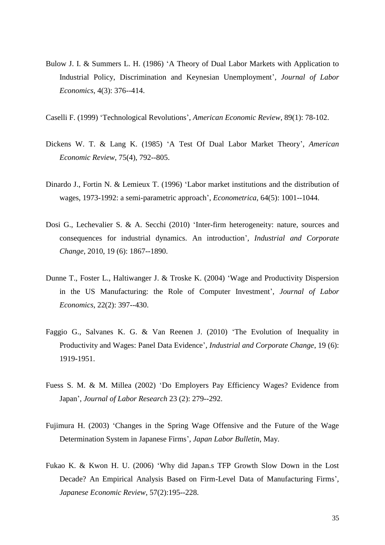- Bulow J. I. & Summers L. H. (1986) ‗A Theory of Dual Labor Markets with Application to Industrial Policy, Discrimination and Keynesian Unemployment', *Journal of Labor Economics*, 4(3): 376--414.
- Caselli F. (1999) ‗Technological Revolutions', *American Economic Review*, 89(1): 78-102.
- Dickens W. T. & Lang K. (1985) ‗A Test Of Dual Labor Market Theory', *American Economic Review*, 75(4), 792--805.
- Dinardo J., Fortin N. & Lemieux T. (1996) ‗Labor market institutions and the distribution of wages, 1973-1992: a semi-parametric approach', *Econometrica*, 64(5): 1001--1044.
- Dosi G., Lechevalier S. & A. Secchi (2010) 'Inter-firm heterogeneity: nature, sources and consequences for industrial dynamics. An introduction', *Industrial and Corporate Change*, 2010, 19 (6): 1867--1890.
- Dunne T., Foster L., Haltiwanger J. & Troske K. (2004) 'Wage and Productivity Dispersion in the US Manufacturing: the Role of Computer Investment', *Journal of Labor Economics*, 22(2): 397--430.
- Faggio G., Salvanes K. G. & Van Reenen J. (2010) 'The Evolution of Inequality in Productivity and Wages: Panel Data Evidence', *Industrial and Corporate Change*, 19 (6): 1919-1951.
- Fuess S. M. & M. Millea (2002) 'Do Employers Pay Efficiency Wages? Evidence from Japan', *Journal of Labor Research* 23 (2): 279--292.
- Fujimura H. (2003) 'Changes in the Spring Wage Offensive and the Future of the Wage Determination System in Japanese Firms', *Japan Labor Bulletin*, May.
- Fukao K. & Kwon H. U. (2006) ‗Why did Japan.s TFP Growth Slow Down in the Lost Decade? An Empirical Analysis Based on Firm-Level Data of Manufacturing Firms', *Japanese Economic Review*, 57(2):195--228.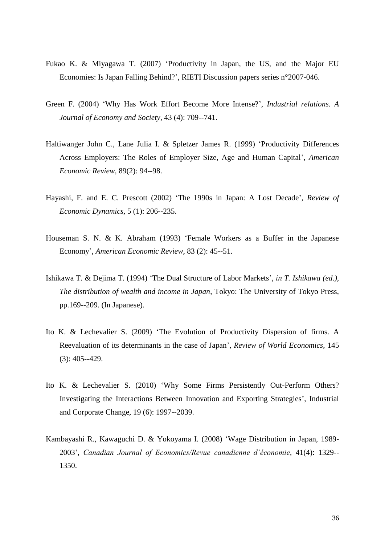- Fukao K. & Miyagawa T. (2007) 'Productivity in Japan, the US, and the Major EU Economies: Is Japan Falling Behind?', RIETI Discussion papers series n°2007-046.
- Green F. (2004) ‗Why Has Work Effort Become More Intense?', *Industrial relations. A Journal of Economy and Society*, 43 (4): 709--741.
- Haltiwanger John C., Lane Julia I. & Spletzer James R. (1999) ‗Productivity Differences Across Employers: The Roles of Employer Size, Age and Human Capital', *American Economic Review*, 89(2): 94--98.
- Hayashi, F. and E. C. Prescott (2002) ‗The 1990s in Japan: A Lost Decade', *Review of Economic Dynamics*, 5 (1): 206--235.
- Houseman S. N. & K. Abraham (1993) 'Female Workers as a Buffer in the Japanese Economy', *American Economic Review*, 83 (2): 45--51.
- Ishikawa T. & Dejima T. (1994) ‗The Dual Structure of Labor Markets', *in T. Ishikawa (ed.), The distribution of wealth and income in Japan*, Tokyo: The University of Tokyo Press, pp.169--209. (In Japanese).
- Ito K. & Lechevalier S. (2009) 'The Evolution of Productivity Dispersion of firms. A Reevaluation of its determinants in the case of Japan', *Review of World Economics*, 145 (3): 405--429.
- Ito K. & Lechevalier S. (2010) 'Why Some Firms Persistently Out-Perform Others? Investigating the Interactions Between Innovation and Exporting Strategies', Industrial and Corporate Change, 19 (6): 1997--2039.
- Kambayashi R., Kawaguchi D. & Yokoyama I. (2008) ‗Wage Distribution in Japan, 1989- 2003', *Canadian Journal of Economics/Revue canadienne d'économie*, 41(4): 1329-- 1350.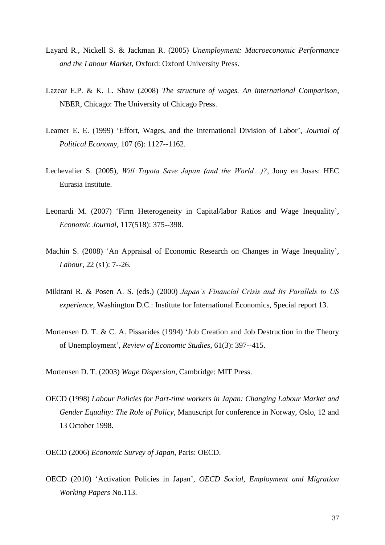- Layard R., Nickell S. & Jackman R. (2005) *Unemployment: Macroeconomic Performance and the Labour Market*, Oxford: Oxford University Press.
- Lazear E.P. & K. L. Shaw (2008) *The structure of wages. An international Comparison*, NBER, Chicago: The University of Chicago Press.
- Leamer E. E. (1999) 'Effort, Wages, and the International Division of Labor', *Journal of Political Economy*, 107 (6): 1127--1162.
- Lechevalier S. (2005), *Will Toyota Save Japan (and the World…)?*, Jouy en Josas: HEC Eurasia Institute.
- Leonardi M. (2007) 'Firm Heterogeneity in Capital/labor Ratios and Wage Inequality', *Economic Journal*, 117(518): 375--398.
- Machin S. (2008) 'An Appraisal of Economic Research on Changes in Wage Inequality', *Labour,* 22 (s1): 7--26.
- Mikitani R. & Posen A. S. (eds.) (2000) *Japan's Financial Crisis and Its Parallels to US experience*, Washington D.C.: Institute for International Economics, Special report 13.
- Mortensen D. T. & C. A. Pissarides (1994) 'Job Creation and Job Destruction in the Theory of Unemployment', *Review of Economic Studies*, 61(3): 397--415.
- Mortensen D. T. (2003) *Wage Dispersion*, Cambridge: MIT Press.
- OECD (1998) *Labour Policies for Part-time workers in Japan: Changing Labour Market and Gender Equality: The Role of Policy*, Manuscript for conference in Norway, Oslo, 12 and 13 October 1998.
- OECD (2006) *Economic Survey of Japan*, Paris: OECD.
- OECD (2010) ‗Activation Policies in Japan', *OECD Social, Employment and Migration Working Papers* No.113.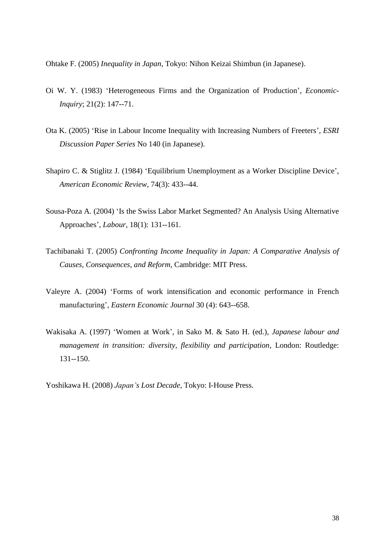Ohtake F. (2005) *Inequality in Japan*, Tokyo: Nihon Keizai Shimbun (in Japanese).

- Oi W. Y. (1983) ‗Heterogeneous Firms and the Organization of Production', *Economic-Inquiry*; 21(2): 147--71.
- Ota K. (2005) 'Rise in Labour Income Inequality with Increasing Numbers of Freeters', *ESRI Discussion Paper Series* No 140 (in Japanese).
- Shapiro C. & Stiglitz J. (1984) 'Equilibrium Unemployment as a Worker Discipline Device', *American Economic Review*, 74(3): 433--44.
- Sousa-Poza A. (2004) 'Is the Swiss Labor Market Segmented? An Analysis Using Alternative Approaches', *Labour*, 18(1): 131--161.
- Tachibanaki T. (2005) *Confronting Income Inequality in Japan: A Comparative Analysis of Causes, Consequences, and Reform*, Cambridge: MIT Press.
- Valeyre A. (2004) 'Forms of work intensification and economic performance in French manufacturing', *Eastern Economic Journal* 30 (4): 643--658.
- Wakisaka A. (1997) ‗Women at Work', in Sako M. & Sato H. (ed.), *Japanese labour and management in transition: diversity, flexibility and participation*, London: Routledge: 131--150.

Yoshikawa H. (2008) *Japan's Lost Decade*, Tokyo: I-House Press.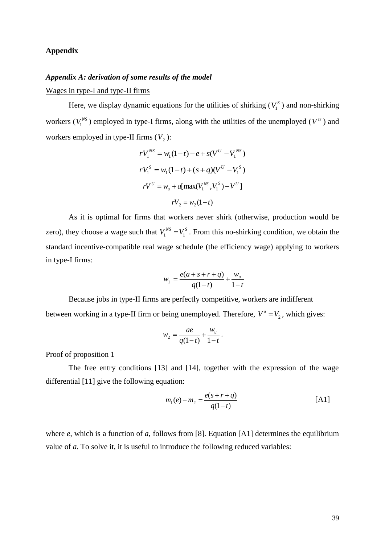#### **Appendix**

# *Appendix A: derivation of some results of the model*

Wages in type-I and type-II firms

Here, we display dynamic equations for the utilities of shirking  $(V_1^S)$  and non-shirking workers ( $V_1^{NS}$ ) employed in type-I firms, along with the utilities of the unemployed ( $V^U$ ) and workers employed in type-II firms  $(V_2)$ :

$$
rV_1^{NS} = w_1(1-t) - e + s(V^U - V_1^{NS})
$$
  
\n
$$
rV_1^S = w_1(1-t) + (s+q)(V^U - V_1^S)
$$
  
\n
$$
rV^U = w_u + a[\max(V_1^{NS}, V_1^S) - V^U]
$$
  
\n
$$
rV_2 = w_2(1-t)
$$

As it is optimal for firms that workers never shirk (otherwise, production would be zero), they choose a wage such that  $V_1^{NS} = V_1^S$ . From this no-shirking condition, we obtain the standard incentive-compatible real wage schedule (the efficiency wage) applying to workers in type-I firms:

$$
w_1 = \frac{e(a+s+r+q)}{q(1-t)} + \frac{w_u}{1-t}
$$

Because jobs in type-II firms are perfectly competitive, workers are indifferent between working in a type-II firm or being unemployed. Therefore,  $V^u = V_2$ , which gives:

$$
w_2 = \frac{ae}{q(1-t)} + \frac{w_u}{1-t}.
$$

Proof of proposition 1

The free entry conditions [13] and [14], together with the expression of the wage differential [11] give the following equation:

$$
m_1(e) - m_2 = \frac{e(s+r+q)}{q(1-t)}
$$
 [A1]

where *e*, which is a function of *a*, follows from [8]. Equation [A1] determines the equilibrium value of *a*. To solve it, it is useful to introduce the following reduced variables: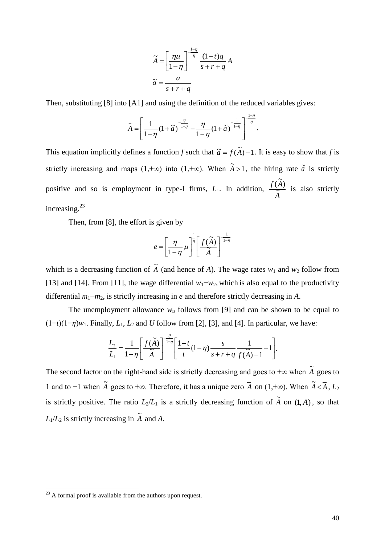$$
\widetilde{A} = \left[\frac{\eta\mu}{1-\eta}\right]^{-\frac{1-\eta}{\eta}} \frac{(1-t)q}{s+r+q} A
$$

$$
\widetilde{a} = \frac{a}{s+r+q}
$$

Then, substituting [8] into [A1] and using the definition of the reduced variables gives:

$$
\widetilde{A} = \left[ \frac{1}{1-\eta} (1+\widetilde{a})^{-\frac{\eta}{1-\eta}} - \frac{\eta}{1-\eta} (1+\widetilde{a})^{-\frac{1}{1-\eta}} \right]^{-\frac{1-\eta}{\eta}}.
$$

This equation implicitly defines a function *f* such that  $\tilde{a} = f(\tilde{A})-1$ . It is easy to show that *f* is strictly increasing and maps  $(1, +\infty)$  into  $(1, +\infty)$ . When  $\tilde{A} > 1$ , the hiring rate  $\tilde{a}$  is strictly positive and so is employment in type-I firms, *L*1. In addition, *A f A*  $\frac{1}{\alpha}$  $\frac{(\tilde{A})}{\tilde{B}}$  is also strictly increasing.<sup>23</sup>

Then, from [8], the effort is given by

$$
e = \left[\frac{\eta}{1-\eta} \mu\right]^{\frac{1}{\eta}} \left[\frac{f(\widetilde{A})}{\widetilde{A}}\right]^{-\frac{1}{1-\eta}}
$$

which is a decreasing function of  $\tilde{A}$  (and hence of *A*). The wage rates  $w_1$  and  $w_2$  follow from [13] and [14]. From [11], the wage differential  $w_1-w_2$ , which is also equal to the productivity differential *m*1−*m*2, is strictly increasing in *e* and therefore strictly decreasing in *A*.

The unemployment allowance  $w<sub>u</sub>$  follows from [9] and can be shown to be equal to  $(1-t)(1-\eta)w_1$ . Finally,  $L_1, L_2$  and *U* follow from [2], [3], and [4]. In particular, we have:

$$
\frac{L_2}{L_1} = \frac{1}{1-\eta} \left[ \frac{f(\tilde{A})}{\tilde{A}} \right]^{-\frac{\eta}{1-\eta}} \left[ \frac{1-t}{t} (1-\eta) \frac{s}{s+r+q} \frac{1}{f(\tilde{A})-1} - 1 \right].
$$

The second factor on the right-hand side is strictly decreasing and goes to  $+\infty$  when  $\tilde{A}$  goes to 1 and to −1 when  $\tilde{A}$  goes to +∞. Therefore, it has a unique zero  $\overline{A}$  on (1,+∞). When  $\tilde{A} < \overline{A}$ ,  $L_2$ is strictly positive. The ratio  $L_2/L_1$  is a strictly decreasing function of  $\tilde{A}$  on  $(1,\overline{A})$ , so that  $L_1/L_2$  is strictly increasing in  $\tilde{A}$  and *A*.

 $^{23}$  A formal proof is available from the authors upon request.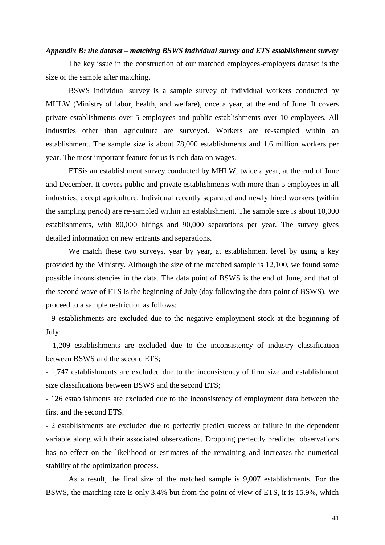#### *Appendix B: the dataset – matching BSWS individual survey and ETS establishment survey*

The key issue in the construction of our matched employees-employers dataset is the size of the sample after matching.

BSWS individual survey is a sample survey of individual workers conducted by MHLW (Ministry of labor, health, and welfare), once a year, at the end of June. It covers private establishments over 5 employees and public establishments over 10 employees. All industries other than agriculture are surveyed. Workers are re-sampled within an establishment. The sample size is about 78,000 establishments and 1.6 million workers per year. The most important feature for us is rich data on wages.

ETSis an establishment survey conducted by MHLW, twice a year, at the end of June and December. It covers public and private establishments with more than 5 employees in all industries, except agriculture. Individual recently separated and newly hired workers (within the sampling period) are re-sampled within an establishment. The sample size is about 10,000 establishments, with 80,000 hirings and 90,000 separations per year. The survey gives detailed information on new entrants and separations.

We match these two surveys, year by year, at establishment level by using a key provided by the Ministry. Although the size of the matched sample is 12,100, we found some possible inconsistencies in the data. The data point of BSWS is the end of June, and that of the second wave of ETS is the beginning of July (day following the data point of BSWS). We proceed to a sample restriction as follows:

- 9 establishments are excluded due to the negative employment stock at the beginning of July;

- 1,209 establishments are excluded due to the inconsistency of industry classification between BSWS and the second ETS;

- 1,747 establishments are excluded due to the inconsistency of firm size and establishment size classifications between BSWS and the second ETS;

- 126 establishments are excluded due to the inconsistency of employment data between the first and the second ETS.

- 2 establishments are excluded due to perfectly predict success or failure in the dependent variable along with their associated observations. Dropping perfectly predicted observations has no effect on the likelihood or estimates of the remaining and increases the numerical stability of the optimization process.

As a result, the final size of the matched sample is 9,007 establishments. For the BSWS, the matching rate is only 3.4% but from the point of view of ETS, it is 15.9%, which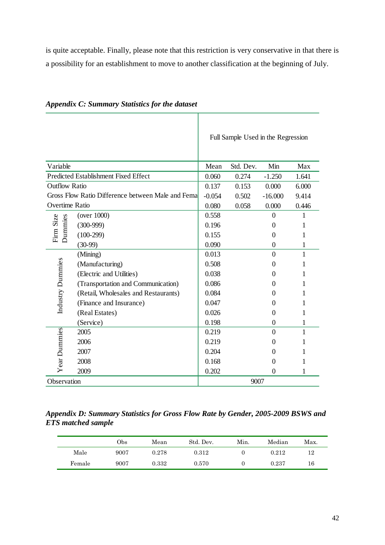is quite acceptable. Finally, please note that this restriction is very conservative in that there is a possibility for an establishment to move to another classification at the beginning of July.

I

|                                      |                                                   |          | Full Sample Used in the Regression |                |       |
|--------------------------------------|---------------------------------------------------|----------|------------------------------------|----------------|-------|
| Variable                             |                                                   | Mean     | Std. Dev.                          | Min            | Max   |
|                                      | Predicted Establishment Fixed Effect              | 0.060    | 0.274                              | $-1.250$       | 1.641 |
| <b>Outflow Ratio</b>                 |                                                   | 0.137    | 0.153                              | 0.000          | 6.000 |
|                                      | Gross Flow Ratio Difference between Male and Fema | $-0.054$ | 0.502                              | $-16,000$      | 9.414 |
| Overtime Ratio                       |                                                   | 0.080    | 0.058                              | 0.000          | 0.446 |
|                                      | (over 1000)                                       | 0.558    |                                    | $\Omega$       | 1     |
| <b>Dummies</b><br>Firm Size          | $(300-999)$                                       | 0.196    |                                    | 0              | 1     |
|                                      | $(100-299)$                                       | 0.155    |                                    | $\Omega$       | 1     |
|                                      | $(30-99)$                                         | 0.090    |                                    | $\Omega$       | 1     |
| Industry Dummies                     | (Mining)                                          | 0.013    |                                    | $\overline{0}$ | 1     |
|                                      | (Manufacturing)                                   | 0.508    |                                    | $\theta$       | 1     |
|                                      | (Electric and Utilities)                          | 0.038    |                                    | $^{(1)}$       | 1     |
|                                      | (Transportation and Communication)                | 0.086    |                                    | $\Omega$       | 1     |
| (Retail, Wholesales and Restaurants) |                                                   | 0.084    |                                    | $\Omega$       | 1     |
|                                      | (Finance and Insurance)                           | 0.047    |                                    | $\theta$       | 1     |
|                                      | (Real Estates)                                    | 0.026    |                                    | $\Omega$       | 1     |
|                                      | (Service)                                         | 0.198    |                                    | $\Omega$       | 1     |
| Year Dummies                         | 2005                                              | 0.219    |                                    | $\Omega$       | 1     |
|                                      | 2006                                              | 0.219    |                                    | 0              | 1     |
|                                      | 2007                                              | 0.204    |                                    | $\theta$       | 1     |
|                                      | 2008                                              | 0.168    |                                    | $\Omega$       | 1     |
|                                      | 2009                                              | 0.202    |                                    | $\overline{0}$ | 1     |
| Observation                          |                                                   |          | 9007                               |                |       |

## *Appendix C: Summary Statistics for the dataset*

*Appendix D: Summary Statistics for Gross Flow Rate by Gender, 2005-2009 BSWS and ETS matched sample*

|        | Эbs  | Mean  | Std. Dev. | Min. | Median | Max. |
|--------|------|-------|-----------|------|--------|------|
| Male   | 9007 | 0.278 | 0.312     |      | 0.212  | 12   |
| Female | 9007 | 0.332 | 0.570     |      | 0.237  | 16   |